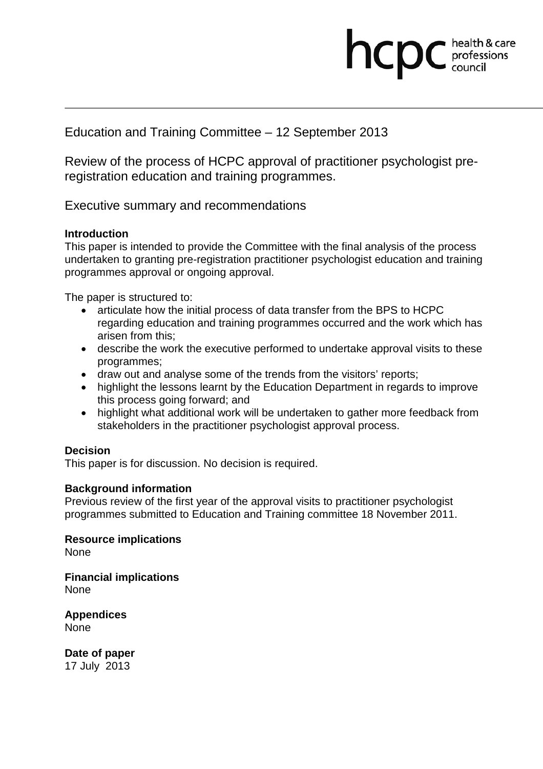# Education and Training Committee – 12 September 2013

Review of the process of HCPC approval of practitioner psychologist preregistration education and training programmes.

**health & care** 

health & care

Executive summary and recommendations

# **Introduction**

This paper is intended to provide the Committee with the final analysis of the process undertaken to granting pre-registration practitioner psychologist education and training programmes approval or ongoing approval.

The paper is structured to:

- articulate how the initial process of data transfer from the BPS to HCPC regarding education and training programmes occurred and the work which has arisen from this;
- describe the work the executive performed to undertake approval visits to these programmes;
- draw out and analyse some of the trends from the visitors' reports;
- highlight the lessons learnt by the Education Department in regards to improve this process going forward; and
- highlight what additional work will be undertaken to gather more feedback from stakeholders in the practitioner psychologist approval process.

# **Decision**

This paper is for discussion. No decision is required.

# **Background information**

Previous review of the first year of the approval visits to practitioner psychologist programmes submitted to Education and Training committee 18 November 2011.

**Resource implications** None

**Financial implications** None

**Appendices**  None

**Date of paper**  17 July 2013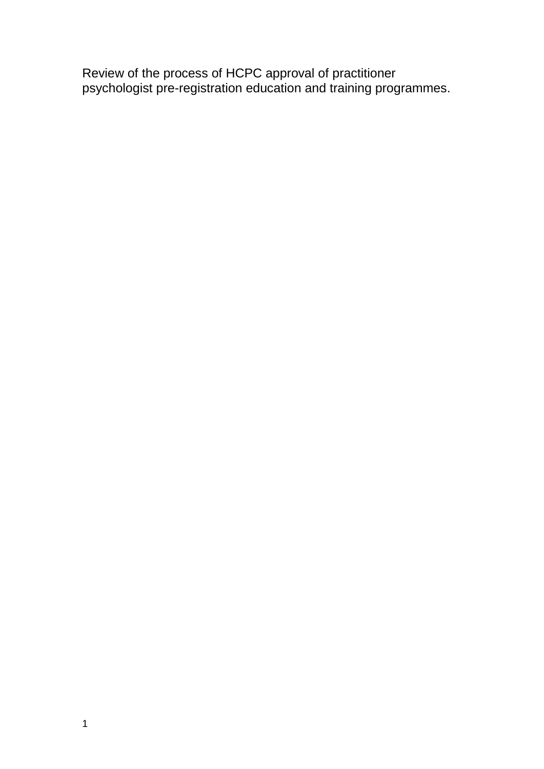Review of the process of HCPC approval of practitioner psychologist pre-registration education and training programmes.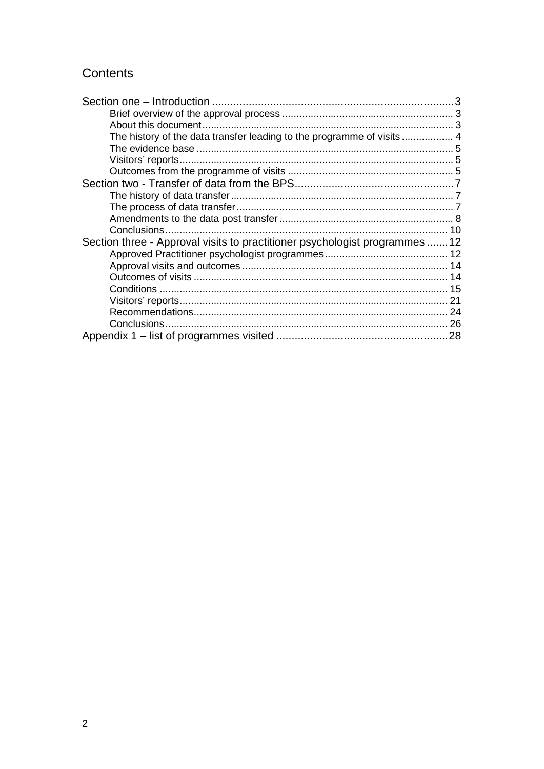# Contents

| About this document.                                                       |  |
|----------------------------------------------------------------------------|--|
|                                                                            |  |
|                                                                            |  |
|                                                                            |  |
|                                                                            |  |
|                                                                            |  |
|                                                                            |  |
|                                                                            |  |
|                                                                            |  |
|                                                                            |  |
| Section three - Approval visits to practitioner psychologist programmes 12 |  |
|                                                                            |  |
|                                                                            |  |
|                                                                            |  |
|                                                                            |  |
|                                                                            |  |
|                                                                            |  |
|                                                                            |  |
|                                                                            |  |
|                                                                            |  |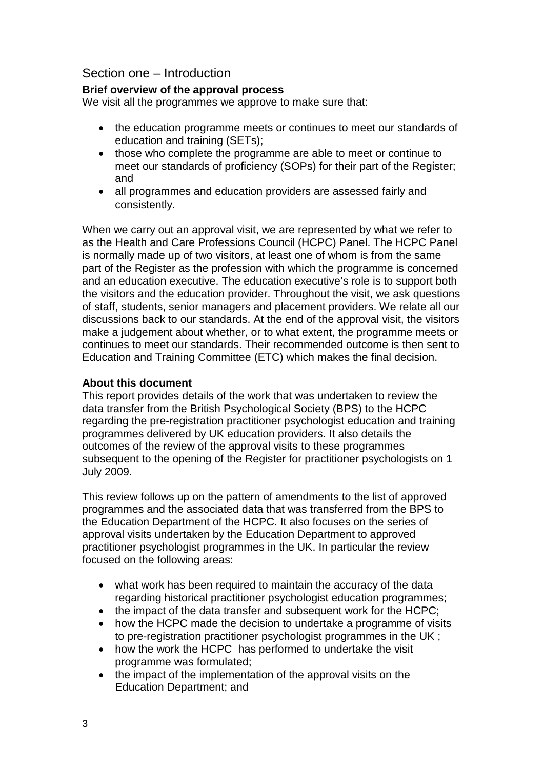# Section one – Introduction

# **Brief overview of the approval process**

We visit all the programmes we approve to make sure that:

- the education programme meets or continues to meet our standards of education and training (SETs);
- those who complete the programme are able to meet or continue to meet our standards of proficiency (SOPs) for their part of the Register; and
- all programmes and education providers are assessed fairly and consistently.

When we carry out an approval visit, we are represented by what we refer to as the Health and Care Professions Council (HCPC) Panel. The HCPC Panel is normally made up of two visitors, at least one of whom is from the same part of the Register as the profession with which the programme is concerned and an education executive. The education executive's role is to support both the visitors and the education provider. Throughout the visit, we ask questions of staff, students, senior managers and placement providers. We relate all our discussions back to our standards. At the end of the approval visit, the visitors make a judgement about whether, or to what extent, the programme meets or continues to meet our standards. Their recommended outcome is then sent to Education and Training Committee (ETC) which makes the final decision.

# **About this document**

This report provides details of the work that was undertaken to review the data transfer from the British Psychological Society (BPS) to the HCPC regarding the pre-registration practitioner psychologist education and training programmes delivered by UK education providers. It also details the outcomes of the review of the approval visits to these programmes subsequent to the opening of the Register for practitioner psychologists on 1 July 2009.

This review follows up on the pattern of amendments to the list of approved programmes and the associated data that was transferred from the BPS to the Education Department of the HCPC. It also focuses on the series of approval visits undertaken by the Education Department to approved practitioner psychologist programmes in the UK. In particular the review focused on the following areas:

- what work has been required to maintain the accuracy of the data regarding historical practitioner psychologist education programmes;
- the impact of the data transfer and subsequent work for the HCPC;
- how the HCPC made the decision to undertake a programme of visits to pre-registration practitioner psychologist programmes in the UK ;
- how the work the HCPC has performed to undertake the visit programme was formulated;
- the impact of the implementation of the approval visits on the Education Department; and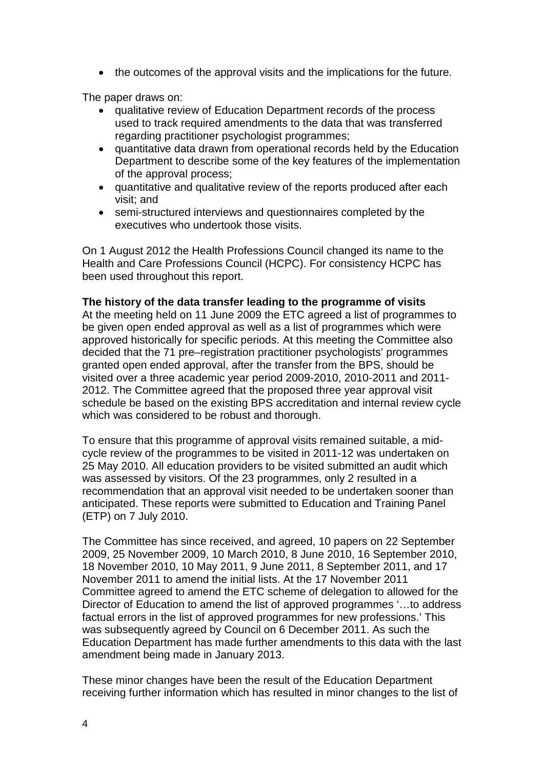• the outcomes of the approval visits and the implications for the future.

The paper draws on:

- qualitative review of Education Department records of the process used to track required amendments to the data that was transferred regarding practitioner psychologist programmes;
- quantitative data drawn from operational records held by the Education Department to describe some of the key features of the implementation of the approval process;
- quantitative and qualitative review of the reports produced after each visit; and
- semi-structured interviews and questionnaires completed by the executives who undertook those visits.

On 1 August 2012 the Health Professions Council changed its name to the Health and Care Professions Council (HCPC). For consistency HCPC has been used throughout this report.

# **The history of the data transfer leading to the programme of visits**

At the meeting held on 11 June 2009 the ETC agreed a list of programmes to be given open ended approval as well as a list of programmes which were approved historically for specific periods. At this meeting the Committee also decided that the 71 pre–registration practitioner psychologists' programmes granted open ended approval, after the transfer from the BPS, should be visited over a three academic year period 2009-2010, 2010-2011 and 2011- 2012. The Committee agreed that the proposed three year approval visit schedule be based on the existing BPS accreditation and internal review cycle which was considered to be robust and thorough.

To ensure that this programme of approval visits remained suitable, a midcycle review of the programmes to be visited in 2011-12 was undertaken on 25 May 2010. All education providers to be visited submitted an audit which was assessed by visitors. Of the 23 programmes, only 2 resulted in a recommendation that an approval visit needed to be undertaken sooner than anticipated. These reports were submitted to Education and Training Panel (ETP) on 7 July 2010.

The Committee has since received, and agreed, 10 papers on 22 September 2009, 25 November 2009, 10 March 2010, 8 June 2010, 16 September 2010, 18 November 2010, 10 May 2011, 9 June 2011, 8 September 2011, and 17 November 2011 to amend the initial lists. At the 17 November 2011 Committee agreed to amend the ETC scheme of delegation to allowed for the Director of Education to amend the list of approved programmes '…to address factual errors in the list of approved programmes for new professions.' This was subsequently agreed by Council on 6 December 2011. As such the Education Department has made further amendments to this data with the last amendment being made in January 2013.

These minor changes have been the result of the Education Department receiving further information which has resulted in minor changes to the list of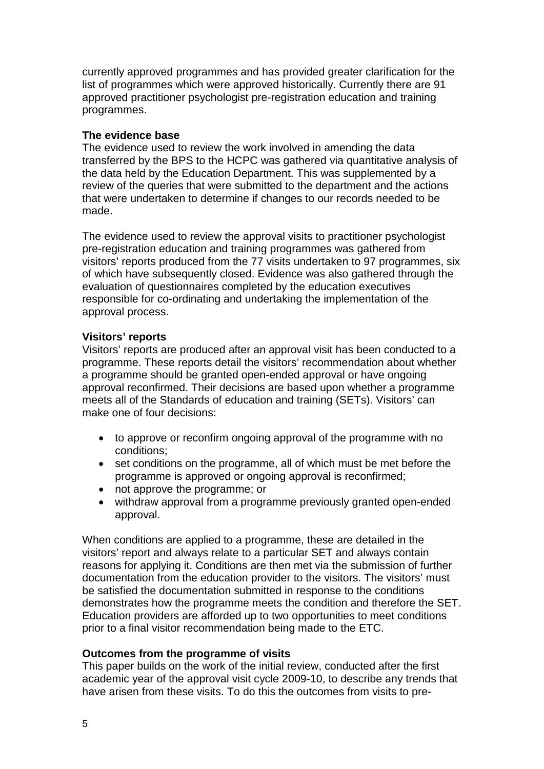currently approved programmes and has provided greater clarification for the list of programmes which were approved historically. Currently there are 91 approved practitioner psychologist pre-registration education and training programmes.

## **The evidence base**

The evidence used to review the work involved in amending the data transferred by the BPS to the HCPC was gathered via quantitative analysis of the data held by the Education Department. This was supplemented by a review of the queries that were submitted to the department and the actions that were undertaken to determine if changes to our records needed to be made.

The evidence used to review the approval visits to practitioner psychologist pre-registration education and training programmes was gathered from visitors' reports produced from the 77 visits undertaken to 97 programmes, six of which have subsequently closed. Evidence was also gathered through the evaluation of questionnaires completed by the education executives responsible for co-ordinating and undertaking the implementation of the approval process.

### **Visitors' reports**

Visitors' reports are produced after an approval visit has been conducted to a programme. These reports detail the visitors' recommendation about whether a programme should be granted open-ended approval or have ongoing approval reconfirmed. Their decisions are based upon whether a programme meets all of the Standards of education and training (SETs). Visitors' can make one of four decisions:

- to approve or reconfirm ongoing approval of the programme with no conditions;
- set conditions on the programme, all of which must be met before the programme is approved or ongoing approval is reconfirmed;
- not approve the programme; or
- withdraw approval from a programme previously granted open-ended approval.

When conditions are applied to a programme, these are detailed in the visitors' report and always relate to a particular SET and always contain reasons for applying it. Conditions are then met via the submission of further documentation from the education provider to the visitors. The visitors' must be satisfied the documentation submitted in response to the conditions demonstrates how the programme meets the condition and therefore the SET. Education providers are afforded up to two opportunities to meet conditions prior to a final visitor recommendation being made to the ETC.

#### **Outcomes from the programme of visits**

This paper builds on the work of the initial review, conducted after the first academic year of the approval visit cycle 2009-10, to describe any trends that have arisen from these visits. To do this the outcomes from visits to pre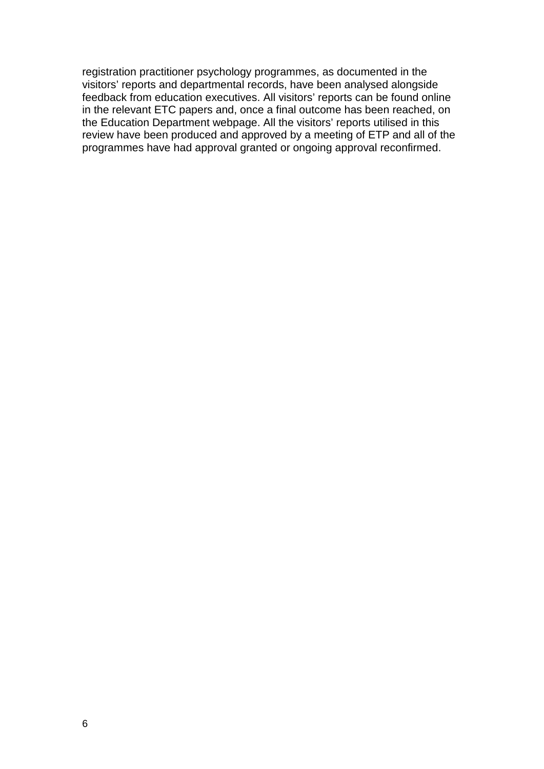registration practitioner psychology programmes, as documented in the visitors' reports and departmental records, have been analysed alongside feedback from education executives. All visitors' reports can be found online in the relevant ETC papers and, once a final outcome has been reached, on the Education Department webpage. All the visitors' reports utilised in this review have been produced and approved by a meeting of ETP and all of the programmes have had approval granted or ongoing approval reconfirmed.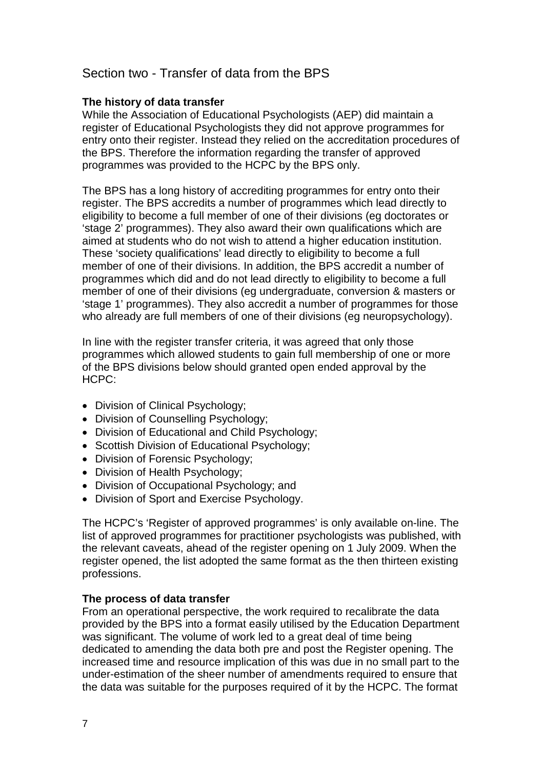# Section two - Transfer of data from the BPS

### **The history of data transfer**

While the Association of Educational Psychologists (AEP) did maintain a register of Educational Psychologists they did not approve programmes for entry onto their register. Instead they relied on the accreditation procedures of the BPS. Therefore the information regarding the transfer of approved programmes was provided to the HCPC by the BPS only.

The BPS has a long history of accrediting programmes for entry onto their register. The BPS accredits a number of programmes which lead directly to eligibility to become a full member of one of their divisions (eg doctorates or 'stage 2' programmes). They also award their own qualifications which are aimed at students who do not wish to attend a higher education institution. These 'society qualifications' lead directly to eligibility to become a full member of one of their divisions. In addition, the BPS accredit a number of programmes which did and do not lead directly to eligibility to become a full member of one of their divisions (eg undergraduate, conversion & masters or 'stage 1' programmes). They also accredit a number of programmes for those who already are full members of one of their divisions (eg neuropsychology).

In line with the register transfer criteria, it was agreed that only those programmes which allowed students to gain full membership of one or more of the BPS divisions below should granted open ended approval by the HCPC:

- Division of Clinical Psychology;
- Division of Counselling Psychology;
- Division of Educational and Child Psychology;
- Scottish Division of Educational Psychology;
- Division of Forensic Psychology;
- Division of Health Psychology;
- Division of Occupational Psychology; and
- Division of Sport and Exercise Psychology.

The HCPC's 'Register of approved programmes' is only available on-line. The list of approved programmes for practitioner psychologists was published, with the relevant caveats, ahead of the register opening on 1 July 2009. When the register opened, the list adopted the same format as the then thirteen existing professions.

### **The process of data transfer**

From an operational perspective, the work required to recalibrate the data provided by the BPS into a format easily utilised by the Education Department was significant. The volume of work led to a great deal of time being dedicated to amending the data both pre and post the Register opening. The increased time and resource implication of this was due in no small part to the under-estimation of the sheer number of amendments required to ensure that the data was suitable for the purposes required of it by the HCPC. The format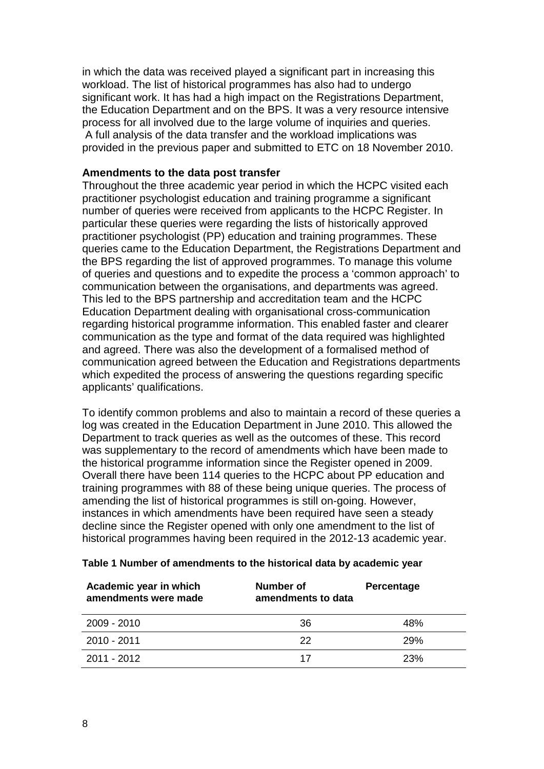in which the data was received played a significant part in increasing this workload. The list of historical programmes has also had to undergo significant work. It has had a high impact on the Registrations Department, the Education Department and on the BPS. It was a very resource intensive process for all involved due to the large volume of inquiries and queries. A full analysis of the data transfer and the workload implications was provided in the previous paper and submitted to ETC on 18 November 2010.

### **Amendments to the data post transfer**

Throughout the three academic year period in which the HCPC visited each practitioner psychologist education and training programme a significant number of queries were received from applicants to the HCPC Register. In particular these queries were regarding the lists of historically approved practitioner psychologist (PP) education and training programmes. These queries came to the Education Department, the Registrations Department and the BPS regarding the list of approved programmes. To manage this volume of queries and questions and to expedite the process a 'common approach' to communication between the organisations, and departments was agreed. This led to the BPS partnership and accreditation team and the HCPC Education Department dealing with organisational cross-communication regarding historical programme information. This enabled faster and clearer communication as the type and format of the data required was highlighted and agreed. There was also the development of a formalised method of communication agreed between the Education and Registrations departments which expedited the process of answering the questions regarding specific applicants' qualifications.

To identify common problems and also to maintain a record of these queries a log was created in the Education Department in June 2010. This allowed the Department to track queries as well as the outcomes of these. This record was supplementary to the record of amendments which have been made to the historical programme information since the Register opened in 2009. Overall there have been 114 queries to the HCPC about PP education and training programmes with 88 of these being unique queries. The process of amending the list of historical programmes is still on-going. However, instances in which amendments have been required have seen a steady decline since the Register opened with only one amendment to the list of historical programmes having been required in the 2012-13 academic year.

| Academic year in which<br>amendments were made | Number of<br>amendments to data | Percentage |
|------------------------------------------------|---------------------------------|------------|
| 2009 - 2010                                    | 36                              | 48%        |
| 2010 - 2011                                    | 22                              | 29%        |
| $2011 - 2012$                                  | 17                              | 23%        |

#### **Table 1 Number of amendments to the historical data by academic year**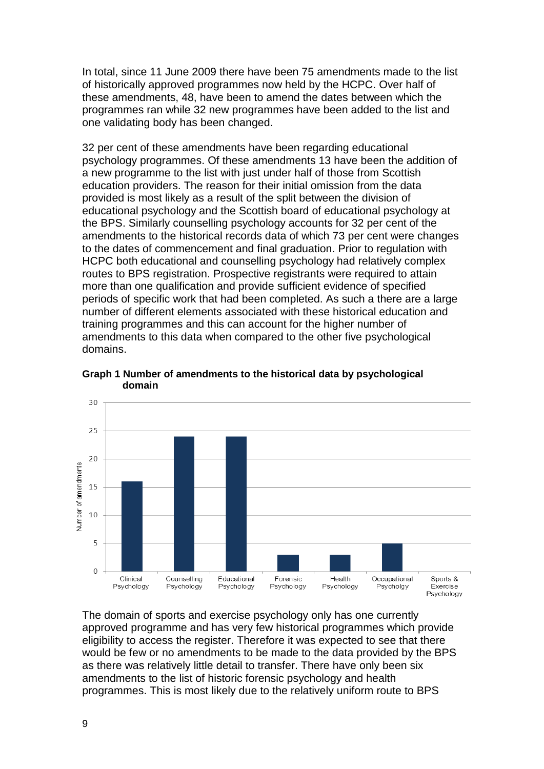In total, since 11 June 2009 there have been 75 amendments made to the list of historically approved programmes now held by the HCPC. Over half of these amendments, 48, have been to amend the dates between which the programmes ran while 32 new programmes have been added to the list and one validating body has been changed.

32 per cent of these amendments have been regarding educational psychology programmes. Of these amendments 13 have been the addition of a new programme to the list with just under half of those from Scottish education providers. The reason for their initial omission from the data provided is most likely as a result of the split between the division of educational psychology and the Scottish board of educational psychology at the BPS. Similarly counselling psychology accounts for 32 per cent of the amendments to the historical records data of which 73 per cent were changes to the dates of commencement and final graduation. Prior to regulation with HCPC both educational and counselling psychology had relatively complex routes to BPS registration. Prospective registrants were required to attain more than one qualification and provide sufficient evidence of specified periods of specific work that had been completed. As such a there are a large number of different elements associated with these historical education and training programmes and this can account for the higher number of amendments to this data when compared to the other five psychological domains.



**Graph 1 Number of amendments to the historical data by psychological domain**

The domain of sports and exercise psychology only has one currently approved programme and has very few historical programmes which provide eligibility to access the register. Therefore it was expected to see that there would be few or no amendments to be made to the data provided by the BPS as there was relatively little detail to transfer. There have only been six amendments to the list of historic forensic psychology and health programmes. This is most likely due to the relatively uniform route to BPS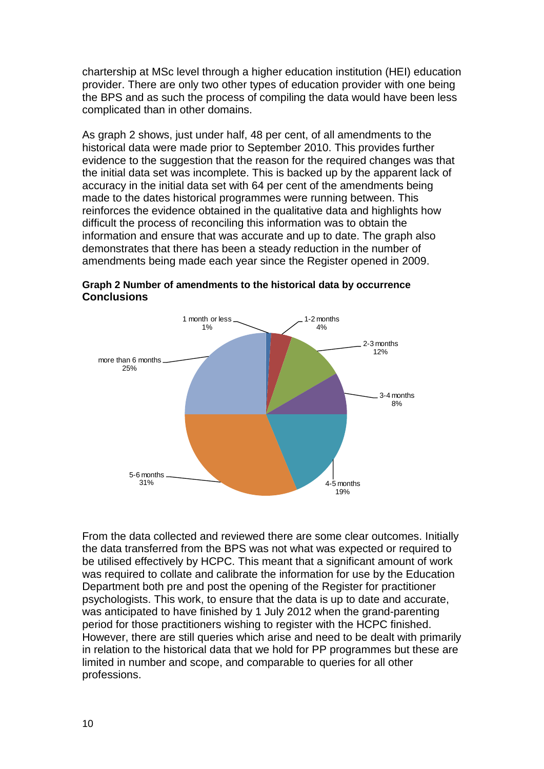chartership at MSc level through a higher education institution (HEI) education provider. There are only two other types of education provider with one being the BPS and as such the process of compiling the data would have been less complicated than in other domains.

As graph 2 shows, just under half, 48 per cent, of all amendments to the historical data were made prior to September 2010. This provides further evidence to the suggestion that the reason for the required changes was that the initial data set was incomplete. This is backed up by the apparent lack of accuracy in the initial data set with 64 per cent of the amendments being made to the dates historical programmes were running between. This reinforces the evidence obtained in the qualitative data and highlights how difficult the process of reconciling this information was to obtain the information and ensure that was accurate and up to date. The graph also demonstrates that there has been a steady reduction in the number of amendments being made each year since the Register opened in 2009.



**Graph 2 Number of amendments to the historical data by occurrence Conclusions**

From the data collected and reviewed there are some clear outcomes. Initially the data transferred from the BPS was not what was expected or required to be utilised effectively by HCPC. This meant that a significant amount of work was required to collate and calibrate the information for use by the Education Department both pre and post the opening of the Register for practitioner psychologists. This work, to ensure that the data is up to date and accurate, was anticipated to have finished by 1 July 2012 when the grand-parenting period for those practitioners wishing to register with the HCPC finished. However, there are still queries which arise and need to be dealt with primarily in relation to the historical data that we hold for PP programmes but these are limited in number and scope, and comparable to queries for all other professions.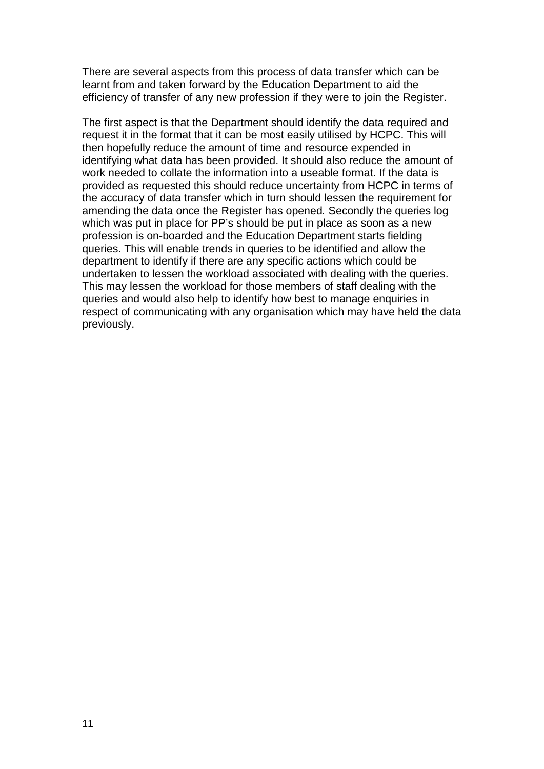There are several aspects from this process of data transfer which can be learnt from and taken forward by the Education Department to aid the efficiency of transfer of any new profession if they were to join the Register.

The first aspect is that the Department should identify the data required and request it in the format that it can be most easily utilised by HCPC. This will then hopefully reduce the amount of time and resource expended in identifying what data has been provided. It should also reduce the amount of work needed to collate the information into a useable format. If the data is provided as requested this should reduce uncertainty from HCPC in terms of the accuracy of data transfer which in turn should lessen the requirement for amending the data once the Register has opened*.* Secondly the queries log which was put in place for PP's should be put in place as soon as a new profession is on-boarded and the Education Department starts fielding queries. This will enable trends in queries to be identified and allow the department to identify if there are any specific actions which could be undertaken to lessen the workload associated with dealing with the queries. This may lessen the workload for those members of staff dealing with the queries and would also help to identify how best to manage enquiries in respect of communicating with any organisation which may have held the data previously.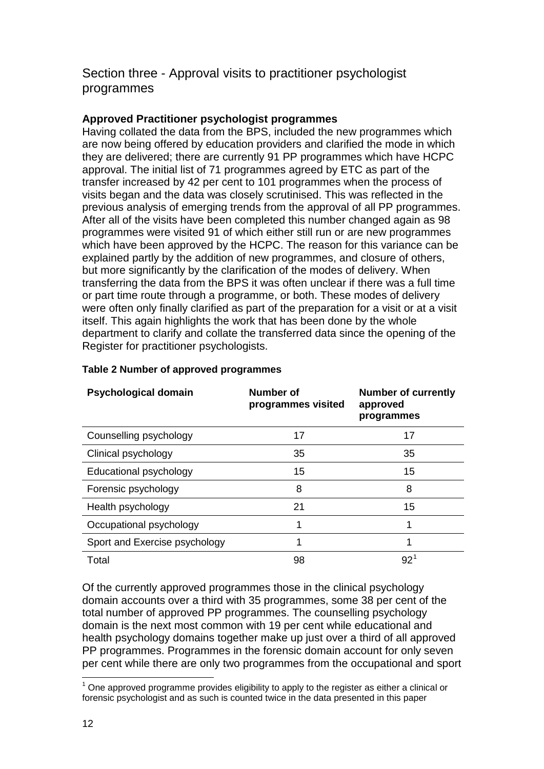# Section three - Approval visits to practitioner psychologist programmes

# **Approved Practitioner psychologist programmes**

Having collated the data from the BPS, included the new programmes which are now being offered by education providers and clarified the mode in which they are delivered; there are currently 91 PP programmes which have HCPC approval. The initial list of 71 programmes agreed by ETC as part of the transfer increased by 42 per cent to 101 programmes when the process of visits began and the data was closely scrutinised. This was reflected in the previous analysis of emerging trends from the approval of all PP programmes. After all of the visits have been completed this number changed again as 98 programmes were visited 91 of which either still run or are new programmes which have been approved by the HCPC. The reason for this variance can be explained partly by the addition of new programmes, and closure of others, but more significantly by the clarification of the modes of delivery. When transferring the data from the BPS it was often unclear if there was a full time or part time route through a programme, or both. These modes of delivery were often only finally clarified as part of the preparation for a visit or at a visit itself. This again highlights the work that has been done by the whole department to clarify and collate the transferred data since the opening of the Register for practitioner psychologists.

| <b>Psychological domain</b>   | Number of<br>programmes visited | <b>Number of currently</b><br>approved<br>programmes |
|-------------------------------|---------------------------------|------------------------------------------------------|
| Counselling psychology        | 17                              | 17                                                   |
| Clinical psychology           | 35                              | 35                                                   |
| Educational psychology        | 15                              | 15                                                   |
| Forensic psychology           | 8                               | 8                                                    |
| Health psychology             | 21                              | 15                                                   |
| Occupational psychology       | 1                               | 1                                                    |
| Sport and Exercise psychology | 1                               | 1                                                    |
| Total                         | 98                              | $92^1$                                               |

# **Table 2 Number of approved programmes**

Of the currently approved programmes those in the clinical psychology domain accounts over a third with 35 programmes, some 38 per cent of the total number of approved PP programmes. The counselling psychology domain is the next most common with 19 per cent while educational and health psychology domains together make up just over a third of all approved PP programmes. Programmes in the forensic domain account for only seven per cent while there are only two programmes from the occupational and sport

 $1$  One approved programme provides eligibility to apply to the register as either a clinical or forensic psychologist and as such is counted twice in the data presented in this paper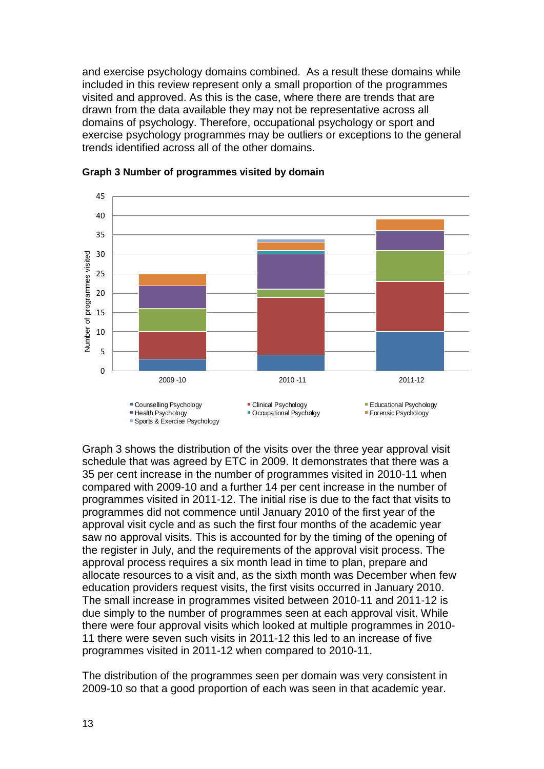and exercise psychology domains combined. As a result these domains while included in this review represent only a small proportion of the programmes visited and approved. As this is the case, where there are trends that are drawn from the data available they may not be representative across all domains of psychology. Therefore, occupational psychology or sport and exercise psychology programmes may be outliers or exceptions to the general trends identified across all of the other domains.





Graph 3 shows the distribution of the visits over the three year approval visit schedule that was agreed by ETC in 2009. It demonstrates that there was a 35 per cent increase in the number of programmes visited in 2010-11 when compared with 2009-10 and a further 14 per cent increase in the number of programmes visited in 2011-12. The initial rise is due to the fact that visits to programmes did not commence until January 2010 of the first year of the approval visit cycle and as such the first four months of the academic year saw no approval visits. This is accounted for by the timing of the opening of the register in July, and the requirements of the approval visit process. The approval process requires a six month lead in time to plan, prepare and allocate resources to a visit and, as the sixth month was December when few education providers request visits, the first visits occurred in January 2010. The small increase in programmes visited between 2010-11 and 2011-12 is due simply to the number of programmes seen at each approval visit. While there were four approval visits which looked at multiple programmes in 2010- 11 there were seven such visits in 2011-12 this led to an increase of five programmes visited in 2011-12 when compared to 2010-11.

The distribution of the programmes seen per domain was very consistent in 2009-10 so that a good proportion of each was seen in that academic year.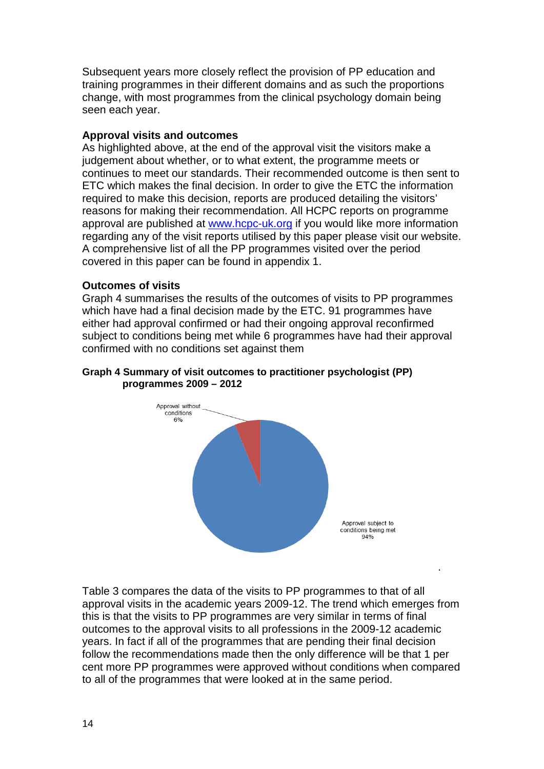Subsequent years more closely reflect the provision of PP education and training programmes in their different domains and as such the proportions change, with most programmes from the clinical psychology domain being seen each year.

# **Approval visits and outcomes**

As highlighted above, at the end of the approval visit the visitors make a judgement about whether, or to what extent, the programme meets or continues to meet our standards. Their recommended outcome is then sent to ETC which makes the final decision. In order to give the ETC the information required to make this decision, reports are produced detailing the visitors' reasons for making their recommendation. All HCPC reports on programme approval are published at www.hcpc-uk.org if you would like more information regarding any of the visit reports utilised by this paper please visit our website. A comprehensive list of all the PP programmes visited over the period covered in this paper can be found in appendix 1.

# **Outcomes of visits**

Graph 4 summarises the results of the outcomes of visits to PP programmes which have had a final decision made by the ETC. 91 programmes have either had approval confirmed or had their ongoing approval reconfirmed subject to conditions being met while 6 programmes have had their approval confirmed with no conditions set against them

#### **Graph 4 Summary of visit outcomes to practitioner psychologist (PP) programmes 2009 – 2012**



.

Table 3 compares the data of the visits to PP programmes to that of all approval visits in the academic years 2009-12. The trend which emerges from this is that the visits to PP programmes are very similar in terms of final outcomes to the approval visits to all professions in the 2009-12 academic years. In fact if all of the programmes that are pending their final decision follow the recommendations made then the only difference will be that 1 per cent more PP programmes were approved without conditions when compared to all of the programmes that were looked at in the same period.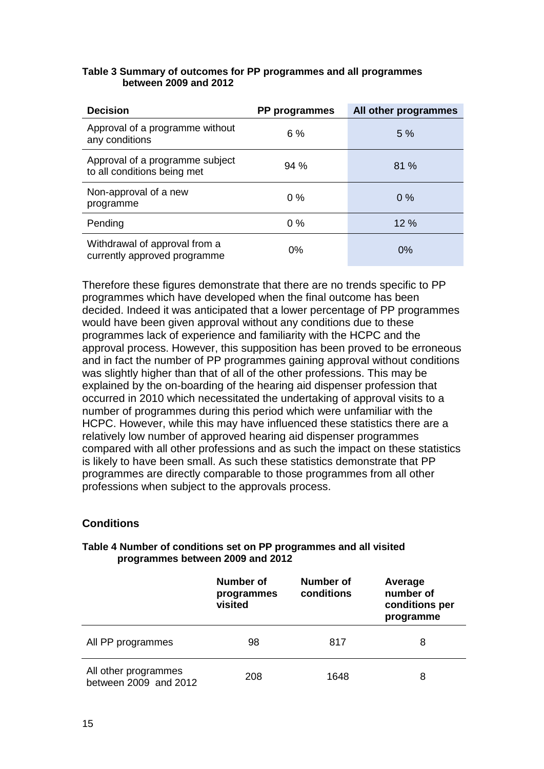| <b>Decision</b>                                                | PP programmes | All other programmes |
|----------------------------------------------------------------|---------------|----------------------|
| Approval of a programme without<br>any conditions              | 6 %           | 5 %                  |
| Approval of a programme subject<br>to all conditions being met | 94%           | 81%                  |
| Non-approval of a new<br>programme                             | $0\%$         | $0\%$                |
| Pending                                                        | $0\%$         | 12 %                 |
| Withdrawal of approval from a<br>currently approved programme  | 0%            | 0%                   |

#### **Table 3 Summary of outcomes for PP programmes and all programmes between 2009 and 2012**

Therefore these figures demonstrate that there are no trends specific to PP programmes which have developed when the final outcome has been decided. Indeed it was anticipated that a lower percentage of PP programmes would have been given approval without any conditions due to these programmes lack of experience and familiarity with the HCPC and the approval process. However, this supposition has been proved to be erroneous and in fact the number of PP programmes gaining approval without conditions was slightly higher than that of all of the other professions. This may be explained by the on-boarding of the hearing aid dispenser profession that occurred in 2010 which necessitated the undertaking of approval visits to a number of programmes during this period which were unfamiliar with the HCPC. However, while this may have influenced these statistics there are a relatively low number of approved hearing aid dispenser programmes compared with all other professions and as such the impact on these statistics is likely to have been small. As such these statistics demonstrate that PP programmes are directly comparable to those programmes from all other professions when subject to the approvals process.

# **Conditions**

#### **Table 4 Number of conditions set on PP programmes and all visited programmes between 2009 and 2012**

|                                               | <b>Number of</b><br>programmes<br>visited | Number of<br>conditions | Average<br>number of<br>conditions per<br>programme |
|-----------------------------------------------|-------------------------------------------|-------------------------|-----------------------------------------------------|
| All PP programmes                             | 98                                        | 817                     | 8                                                   |
| All other programmes<br>between 2009 and 2012 | 208                                       | 1648                    | 8                                                   |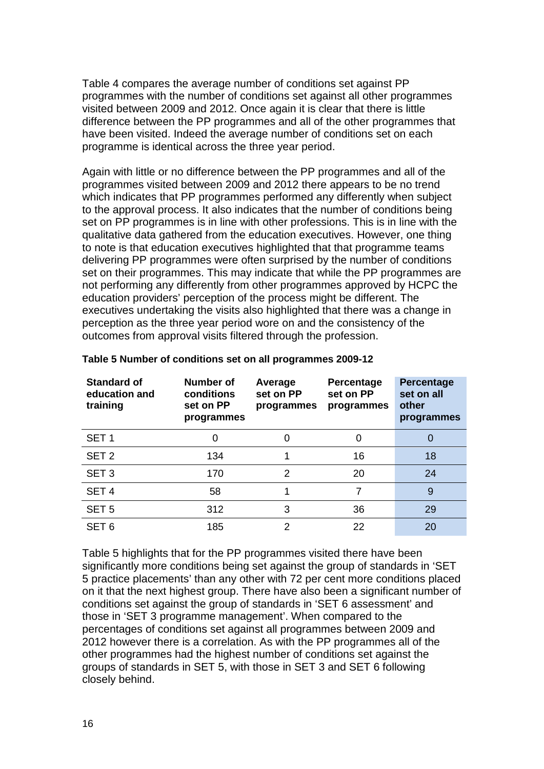Table 4 compares the average number of conditions set against PP programmes with the number of conditions set against all other programmes visited between 2009 and 2012. Once again it is clear that there is little difference between the PP programmes and all of the other programmes that have been visited. Indeed the average number of conditions set on each programme is identical across the three year period.

Again with little or no difference between the PP programmes and all of the programmes visited between 2009 and 2012 there appears to be no trend which indicates that PP programmes performed any differently when subject to the approval process. It also indicates that the number of conditions being set on PP programmes is in line with other professions. This is in line with the qualitative data gathered from the education executives. However, one thing to note is that education executives highlighted that that programme teams delivering PP programmes were often surprised by the number of conditions set on their programmes. This may indicate that while the PP programmes are not performing any differently from other programmes approved by HCPC the education providers' perception of the process might be different. The executives undertaking the visits also highlighted that there was a change in perception as the three year period wore on and the consistency of the outcomes from approval visits filtered through the profession.

| Standard of<br>education and<br>training | <b>Number of</b><br>conditions<br>set on PP<br>programmes | Average<br>set on PP<br>programmes | Percentage<br>set on PP<br>programmes | <b>Percentage</b><br>set on all<br>other<br>programmes |
|------------------------------------------|-----------------------------------------------------------|------------------------------------|---------------------------------------|--------------------------------------------------------|
| SET <sub>1</sub>                         | 0                                                         | O                                  | Ω                                     | 0                                                      |
| SET <sub>2</sub>                         | 134                                                       |                                    | 16                                    | 18                                                     |
| SET <sub>3</sub>                         | 170                                                       | $\mathcal{P}$                      | 20                                    | 24                                                     |
| SET <sub>4</sub>                         | 58                                                        |                                    | 7                                     | 9                                                      |
| SET <sub>5</sub>                         | 312                                                       | 3                                  | 36                                    | 29                                                     |
| SET <sub>6</sub>                         | 185                                                       | 2                                  | 22                                    | 20                                                     |

#### **Table 5 Number of conditions set on all programmes 2009-12**

Table 5 highlights that for the PP programmes visited there have been significantly more conditions being set against the group of standards in 'SET 5 practice placements' than any other with 72 per cent more conditions placed on it that the next highest group. There have also been a significant number of conditions set against the group of standards in 'SET 6 assessment' and those in 'SET 3 programme management'. When compared to the percentages of conditions set against all programmes between 2009 and 2012 however there is a correlation. As with the PP programmes all of the other programmes had the highest number of conditions set against the groups of standards in SET 5, with those in SET 3 and SET 6 following closely behind.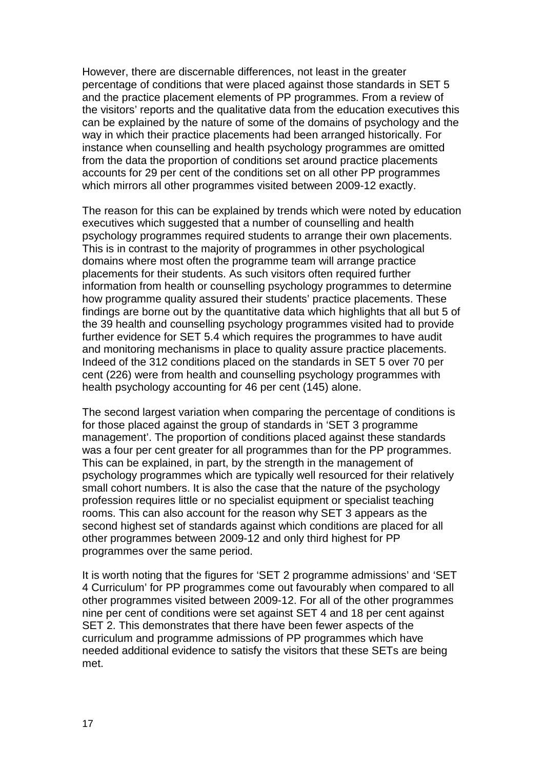However, there are discernable differences, not least in the greater percentage of conditions that were placed against those standards in SET 5 and the practice placement elements of PP programmes. From a review of the visitors' reports and the qualitative data from the education executives this can be explained by the nature of some of the domains of psychology and the way in which their practice placements had been arranged historically. For instance when counselling and health psychology programmes are omitted from the data the proportion of conditions set around practice placements accounts for 29 per cent of the conditions set on all other PP programmes which mirrors all other programmes visited between 2009-12 exactly.

The reason for this can be explained by trends which were noted by education executives which suggested that a number of counselling and health psychology programmes required students to arrange their own placements. This is in contrast to the majority of programmes in other psychological domains where most often the programme team will arrange practice placements for their students. As such visitors often required further information from health or counselling psychology programmes to determine how programme quality assured their students' practice placements. These findings are borne out by the quantitative data which highlights that all but 5 of the 39 health and counselling psychology programmes visited had to provide further evidence for SET 5.4 which requires the programmes to have audit and monitoring mechanisms in place to quality assure practice placements. Indeed of the 312 conditions placed on the standards in SET 5 over 70 per cent (226) were from health and counselling psychology programmes with health psychology accounting for 46 per cent (145) alone.

The second largest variation when comparing the percentage of conditions is for those placed against the group of standards in 'SET 3 programme management'. The proportion of conditions placed against these standards was a four per cent greater for all programmes than for the PP programmes. This can be explained, in part, by the strength in the management of psychology programmes which are typically well resourced for their relatively small cohort numbers. It is also the case that the nature of the psychology profession requires little or no specialist equipment or specialist teaching rooms. This can also account for the reason why SET 3 appears as the second highest set of standards against which conditions are placed for all other programmes between 2009-12 and only third highest for PP programmes over the same period.

It is worth noting that the figures for 'SET 2 programme admissions' and 'SET 4 Curriculum' for PP programmes come out favourably when compared to all other programmes visited between 2009-12. For all of the other programmes nine per cent of conditions were set against SET 4 and 18 per cent against SET 2. This demonstrates that there have been fewer aspects of the curriculum and programme admissions of PP programmes which have needed additional evidence to satisfy the visitors that these SETs are being met.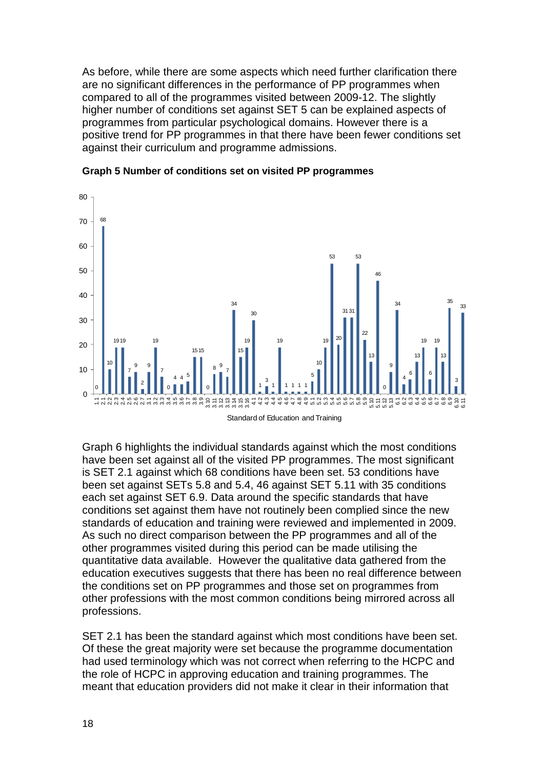As before, while there are some aspects which need further clarification there are no significant differences in the performance of PP programmes when compared to all of the programmes visited between 2009-12. The slightly higher number of conditions set against SET 5 can be explained aspects of programmes from particular psychological domains. However there is a positive trend for PP programmes in that there have been fewer conditions set against their curriculum and programme admissions.



#### **Graph 5 Number of conditions set on visited PP programmes**

Graph 6 highlights the individual standards against which the most conditions have been set against all of the visited PP programmes. The most significant is SET 2.1 against which 68 conditions have been set. 53 conditions have been set against SETs 5.8 and 5.4, 46 against SET 5.11 with 35 conditions each set against SET 6.9. Data around the specific standards that have conditions set against them have not routinely been complied since the new standards of education and training were reviewed and implemented in 2009. As such no direct comparison between the PP programmes and all of the other programmes visited during this period can be made utilising the quantitative data available. However the qualitative data gathered from the education executives suggests that there has been no real difference between the conditions set on PP programmes and those set on programmes from other professions with the most common conditions being mirrored across all professions.

SET 2.1 has been the standard against which most conditions have been set. Of these the great majority were set because the programme documentation had used terminology which was not correct when referring to the HCPC and the role of HCPC in approving education and training programmes. The meant that education providers did not make it clear in their information that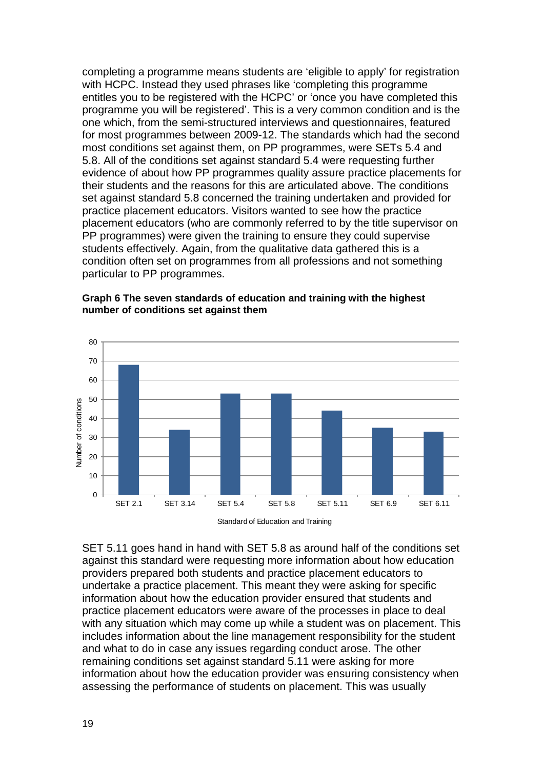completing a programme means students are 'eligible to apply' for registration with HCPC. Instead they used phrases like 'completing this programme entitles you to be registered with the HCPC' or 'once you have completed this programme you will be registered'. This is a very common condition and is the one which, from the semi-structured interviews and questionnaires, featured for most programmes between 2009-12. The standards which had the second most conditions set against them, on PP programmes, were SETs 5.4 and 5.8. All of the conditions set against standard 5.4 were requesting further evidence of about how PP programmes quality assure practice placements for their students and the reasons for this are articulated above. The conditions set against standard 5.8 concerned the training undertaken and provided for practice placement educators. Visitors wanted to see how the practice placement educators (who are commonly referred to by the title supervisor on PP programmes) were given the training to ensure they could supervise students effectively. Again, from the qualitative data gathered this is a condition often set on programmes from all professions and not something particular to PP programmes.



**Graph 6 The seven standards of education and training with the highest number of conditions set against them** 

SET 5.11 goes hand in hand with SET 5.8 as around half of the conditions set against this standard were requesting more information about how education providers prepared both students and practice placement educators to undertake a practice placement. This meant they were asking for specific information about how the education provider ensured that students and practice placement educators were aware of the processes in place to deal with any situation which may come up while a student was on placement. This includes information about the line management responsibility for the student and what to do in case any issues regarding conduct arose. The other remaining conditions set against standard 5.11 were asking for more information about how the education provider was ensuring consistency when assessing the performance of students on placement. This was usually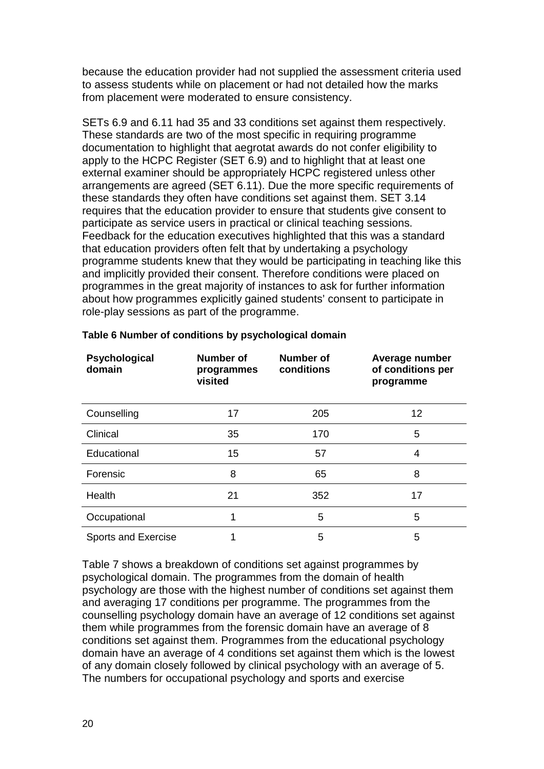because the education provider had not supplied the assessment criteria used to assess students while on placement or had not detailed how the marks from placement were moderated to ensure consistency.

SETs 6.9 and 6.11 had 35 and 33 conditions set against them respectively. These standards are two of the most specific in requiring programme documentation to highlight that aegrotat awards do not confer eligibility to apply to the HCPC Register (SET 6.9) and to highlight that at least one external examiner should be appropriately HCPC registered unless other arrangements are agreed (SET 6.11). Due the more specific requirements of these standards they often have conditions set against them. SET 3.14 requires that the education provider to ensure that students give consent to participate as service users in practical or clinical teaching sessions. Feedback for the education executives highlighted that this was a standard that education providers often felt that by undertaking a psychology programme students knew that they would be participating in teaching like this and implicitly provided their consent. Therefore conditions were placed on programmes in the great majority of instances to ask for further information about how programmes explicitly gained students' consent to participate in role-play sessions as part of the programme.

| Psychological<br>domain    | <b>Number of</b><br>programmes<br>visited | <b>Number of</b><br>conditions | Average number<br>of conditions per<br>programme |
|----------------------------|-------------------------------------------|--------------------------------|--------------------------------------------------|
| Counselling                | 17                                        | 205                            | $12 \,$                                          |
| Clinical                   | 35                                        | 170                            | 5                                                |
| Educational                | 15                                        | 57                             | 4                                                |
| Forensic                   | 8                                         | 65                             | 8                                                |
| Health                     | 21                                        | 352                            | 17                                               |
| Occupational               |                                           | 5                              | 5                                                |
| <b>Sports and Exercise</b> |                                           | 5                              | 5                                                |

### **Table 6 Number of conditions by psychological domain**

Table 7 shows a breakdown of conditions set against programmes by psychological domain. The programmes from the domain of health psychology are those with the highest number of conditions set against them and averaging 17 conditions per programme. The programmes from the counselling psychology domain have an average of 12 conditions set against them while programmes from the forensic domain have an average of 8 conditions set against them. Programmes from the educational psychology domain have an average of 4 conditions set against them which is the lowest of any domain closely followed by clinical psychology with an average of 5. The numbers for occupational psychology and sports and exercise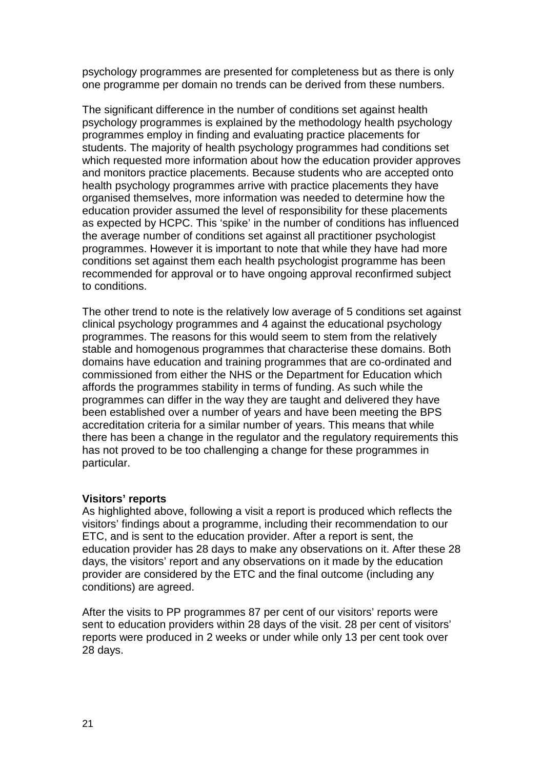psychology programmes are presented for completeness but as there is only one programme per domain no trends can be derived from these numbers.

The significant difference in the number of conditions set against health psychology programmes is explained by the methodology health psychology programmes employ in finding and evaluating practice placements for students. The majority of health psychology programmes had conditions set which requested more information about how the education provider approves and monitors practice placements. Because students who are accepted onto health psychology programmes arrive with practice placements they have organised themselves, more information was needed to determine how the education provider assumed the level of responsibility for these placements as expected by HCPC. This 'spike' in the number of conditions has influenced the average number of conditions set against all practitioner psychologist programmes. However it is important to note that while they have had more conditions set against them each health psychologist programme has been recommended for approval or to have ongoing approval reconfirmed subject to conditions.

The other trend to note is the relatively low average of 5 conditions set against clinical psychology programmes and 4 against the educational psychology programmes. The reasons for this would seem to stem from the relatively stable and homogenous programmes that characterise these domains. Both domains have education and training programmes that are co-ordinated and commissioned from either the NHS or the Department for Education which affords the programmes stability in terms of funding. As such while the programmes can differ in the way they are taught and delivered they have been established over a number of years and have been meeting the BPS accreditation criteria for a similar number of years. This means that while there has been a change in the regulator and the regulatory requirements this has not proved to be too challenging a change for these programmes in particular.

#### **Visitors' reports**

As highlighted above, following a visit a report is produced which reflects the visitors' findings about a programme, including their recommendation to our ETC, and is sent to the education provider. After a report is sent, the education provider has 28 days to make any observations on it. After these 28 days, the visitors' report and any observations on it made by the education provider are considered by the ETC and the final outcome (including any conditions) are agreed.

After the visits to PP programmes 87 per cent of our visitors' reports were sent to education providers within 28 days of the visit. 28 per cent of visitors' reports were produced in 2 weeks or under while only 13 per cent took over 28 days.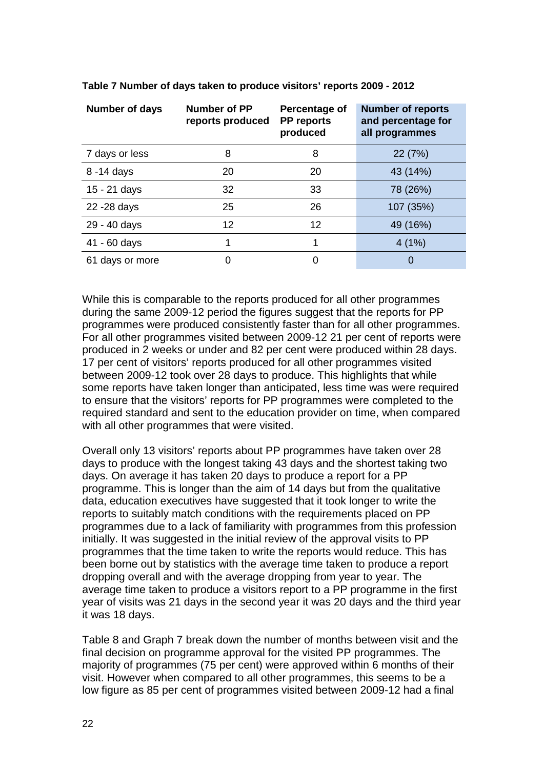| Number of days  | Number of PP<br>reports produced | Percentage of<br><b>PP reports</b><br>produced | <b>Number of reports</b><br>and percentage for<br>all programmes |
|-----------------|----------------------------------|------------------------------------------------|------------------------------------------------------------------|
| 7 days or less  | 8                                | 8                                              | 22 (7%)                                                          |
| 8 -14 days      | 20                               | 20                                             | 43 (14%)                                                         |
| 15 - 21 days    | 32                               | 33                                             | 78 (26%)                                                         |
| 22 - 28 days    | 25                               | 26                                             | 107 (35%)                                                        |
| 29 - 40 days    | 12                               | 12                                             | 49 (16%)                                                         |
| 41 - 60 days    | 1                                |                                                | 4(1%)                                                            |
| 61 days or more | 0                                | 0                                              | 0                                                                |

**Table 7 Number of days taken to produce visitors' reports 2009 - 2012**

While this is comparable to the reports produced for all other programmes during the same 2009-12 period the figures suggest that the reports for PP programmes were produced consistently faster than for all other programmes. For all other programmes visited between 2009-12 21 per cent of reports were produced in 2 weeks or under and 82 per cent were produced within 28 days. 17 per cent of visitors' reports produced for all other programmes visited between 2009-12 took over 28 days to produce. This highlights that while some reports have taken longer than anticipated, less time was were required to ensure that the visitors' reports for PP programmes were completed to the required standard and sent to the education provider on time, when compared with all other programmes that were visited.

Overall only 13 visitors' reports about PP programmes have taken over 28 days to produce with the longest taking 43 days and the shortest taking two days. On average it has taken 20 days to produce a report for a PP programme. This is longer than the aim of 14 days but from the qualitative data, education executives have suggested that it took longer to write the reports to suitably match conditions with the requirements placed on PP programmes due to a lack of familiarity with programmes from this profession initially. It was suggested in the initial review of the approval visits to PP programmes that the time taken to write the reports would reduce. This has been borne out by statistics with the average time taken to produce a report dropping overall and with the average dropping from year to year. The average time taken to produce a visitors report to a PP programme in the first year of visits was 21 days in the second year it was 20 days and the third year it was 18 days.

Table 8 and Graph 7 break down the number of months between visit and the final decision on programme approval for the visited PP programmes. The majority of programmes (75 per cent) were approved within 6 months of their visit. However when compared to all other programmes, this seems to be a low figure as 85 per cent of programmes visited between 2009-12 had a final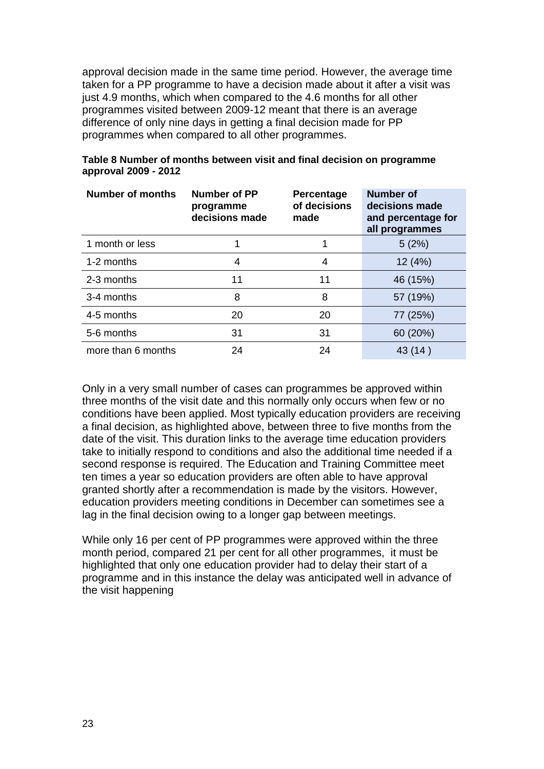approval decision made in the same time period. However, the average time taken for a PP programme to have a decision made about it after a visit was just 4.9 months, which when compared to the 4.6 months for all other programmes visited between 2009-12 meant that there is an average difference of only nine days in getting a final decision made for PP programmes when compared to all other programmes.

| <b>Number of months</b> | <b>Number of PP</b><br>programme<br>decisions made | Percentage<br>of decisions<br>made | <b>Number of</b><br>decisions made<br>and percentage for<br>all programmes |
|-------------------------|----------------------------------------------------|------------------------------------|----------------------------------------------------------------------------|
| 1 month or less         |                                                    |                                    | 5(2%)                                                                      |
| 1-2 months              | 4                                                  | 4                                  | 12(4%)                                                                     |
| 2-3 months              | 11                                                 | 11                                 | 46 (15%)                                                                   |
| 3-4 months              | 8                                                  | 8                                  | 57 (19%)                                                                   |
| 4-5 months              | 20                                                 | 20                                 | 77 (25%)                                                                   |
| 5-6 months              | 31                                                 | 31                                 | 60 (20%)                                                                   |
| more than 6 months      | 24                                                 | 24                                 | 43 (14)                                                                    |

### **Table 8 Number of months between visit and final decision on programme approval 2009 - 2012**

Only in a very small number of cases can programmes be approved within three months of the visit date and this normally only occurs when few or no conditions have been applied. Most typically education providers are receiving a final decision, as highlighted above, between three to five months from the date of the visit. This duration links to the average time education providers take to initially respond to conditions and also the additional time needed if a second response is required. The Education and Training Committee meet ten times a year so education providers are often able to have approval granted shortly after a recommendation is made by the visitors. However, education providers meeting conditions in December can sometimes see a lag in the final decision owing to a longer gap between meetings.

While only 16 per cent of PP programmes were approved within the three month period, compared 21 per cent for all other programmes, it must be highlighted that only one education provider had to delay their start of a programme and in this instance the delay was anticipated well in advance of the visit happening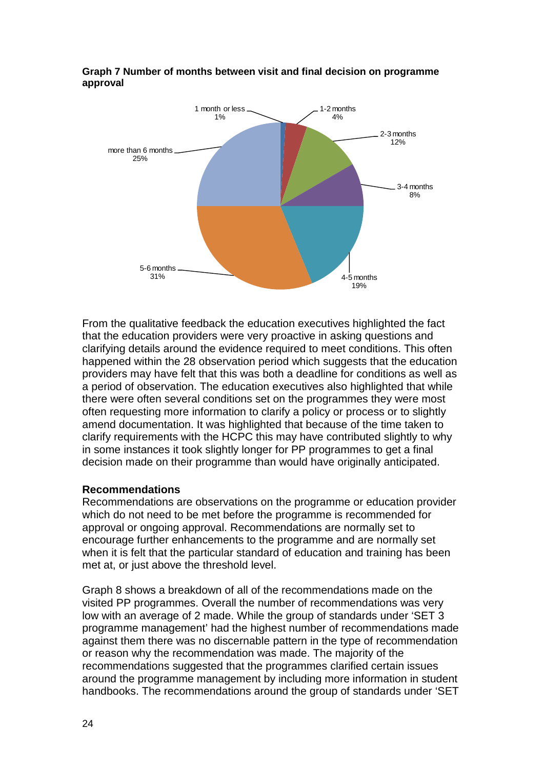

#### **Graph 7 Number of months between visit and final decision on programme approval**

From the qualitative feedback the education executives highlighted the fact that the education providers were very proactive in asking questions and clarifying details around the evidence required to meet conditions. This often happened within the 28 observation period which suggests that the education providers may have felt that this was both a deadline for conditions as well as a period of observation. The education executives also highlighted that while there were often several conditions set on the programmes they were most often requesting more information to clarify a policy or process or to slightly amend documentation. It was highlighted that because of the time taken to clarify requirements with the HCPC this may have contributed slightly to why in some instances it took slightly longer for PP programmes to get a final decision made on their programme than would have originally anticipated.

# **Recommendations**

Recommendations are observations on the programme or education provider which do not need to be met before the programme is recommended for approval or ongoing approval. Recommendations are normally set to encourage further enhancements to the programme and are normally set when it is felt that the particular standard of education and training has been met at, or just above the threshold level.

Graph 8 shows a breakdown of all of the recommendations made on the visited PP programmes. Overall the number of recommendations was very low with an average of 2 made. While the group of standards under 'SET 3 programme management' had the highest number of recommendations made against them there was no discernable pattern in the type of recommendation or reason why the recommendation was made. The majority of the recommendations suggested that the programmes clarified certain issues around the programme management by including more information in student handbooks. The recommendations around the group of standards under 'SET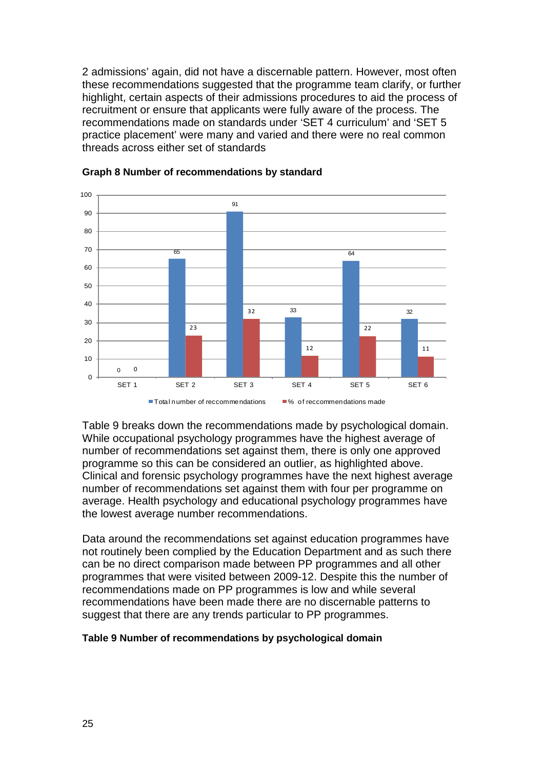2 admissions' again, did not have a discernable pattern. However, most often these recommendations suggested that the programme team clarify, or further highlight, certain aspects of their admissions procedures to aid the process of recruitment or ensure that applicants were fully aware of the process. The recommendations made on standards under 'SET 4 curriculum' and 'SET 5 practice placement' were many and varied and there were no real common threads across either set of standards



#### **Graph 8 Number of recommendations by standard**

Table 9 breaks down the recommendations made by psychological domain. While occupational psychology programmes have the highest average of number of recommendations set against them, there is only one approved programme so this can be considered an outlier, as highlighted above. Clinical and forensic psychology programmes have the next highest average number of recommendations set against them with four per programme on average. Health psychology and educational psychology programmes have the lowest average number recommendations.

Data around the recommendations set against education programmes have not routinely been complied by the Education Department and as such there can be no direct comparison made between PP programmes and all other programmes that were visited between 2009-12. Despite this the number of recommendations made on PP programmes is low and while several recommendations have been made there are no discernable patterns to suggest that there are any trends particular to PP programmes.

#### **Table 9 Number of recommendations by psychological domain**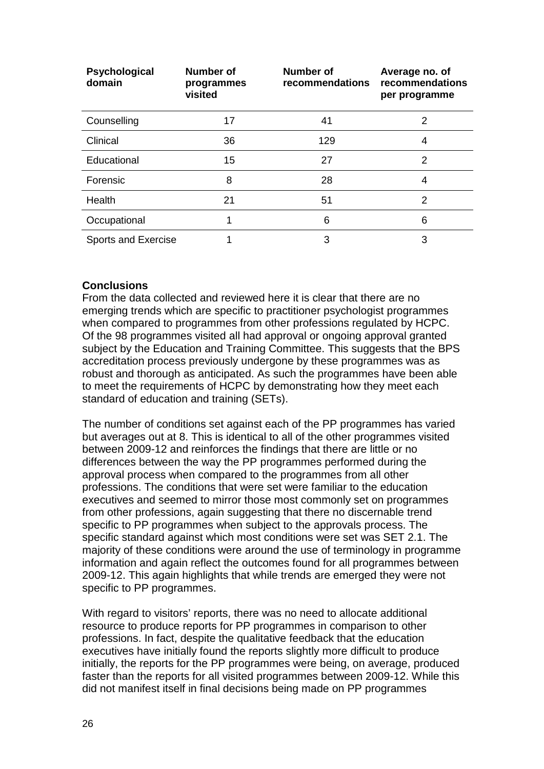| Psychological<br>domain    | Number of<br>programmes<br>visited | Number of<br>recommendations | Average no. of<br>recommendations<br>per programme |
|----------------------------|------------------------------------|------------------------------|----------------------------------------------------|
| Counselling                | 17                                 | 41                           | 2                                                  |
| Clinical                   | 36                                 | 129                          | 4                                                  |
| Educational                | 15                                 | 27                           | 2                                                  |
| Forensic                   | 8                                  | 28                           | 4                                                  |
| Health                     | 21                                 | 51                           | 2                                                  |
| Occupational               | 1                                  | 6                            | 6                                                  |
| <b>Sports and Exercise</b> |                                    | 3                            | 3                                                  |

# **Conclusions**

From the data collected and reviewed here it is clear that there are no emerging trends which are specific to practitioner psychologist programmes when compared to programmes from other professions regulated by HCPC. Of the 98 programmes visited all had approval or ongoing approval granted subject by the Education and Training Committee. This suggests that the BPS accreditation process previously undergone by these programmes was as robust and thorough as anticipated. As such the programmes have been able to meet the requirements of HCPC by demonstrating how they meet each standard of education and training (SETs).

The number of conditions set against each of the PP programmes has varied but averages out at 8. This is identical to all of the other programmes visited between 2009-12 and reinforces the findings that there are little or no differences between the way the PP programmes performed during the approval process when compared to the programmes from all other professions. The conditions that were set were familiar to the education executives and seemed to mirror those most commonly set on programmes from other professions, again suggesting that there no discernable trend specific to PP programmes when subject to the approvals process. The specific standard against which most conditions were set was SET 2.1. The majority of these conditions were around the use of terminology in programme information and again reflect the outcomes found for all programmes between 2009-12. This again highlights that while trends are emerged they were not specific to PP programmes.

With regard to visitors' reports, there was no need to allocate additional resource to produce reports for PP programmes in comparison to other professions. In fact, despite the qualitative feedback that the education executives have initially found the reports slightly more difficult to produce initially, the reports for the PP programmes were being, on average, produced faster than the reports for all visited programmes between 2009-12. While this did not manifest itself in final decisions being made on PP programmes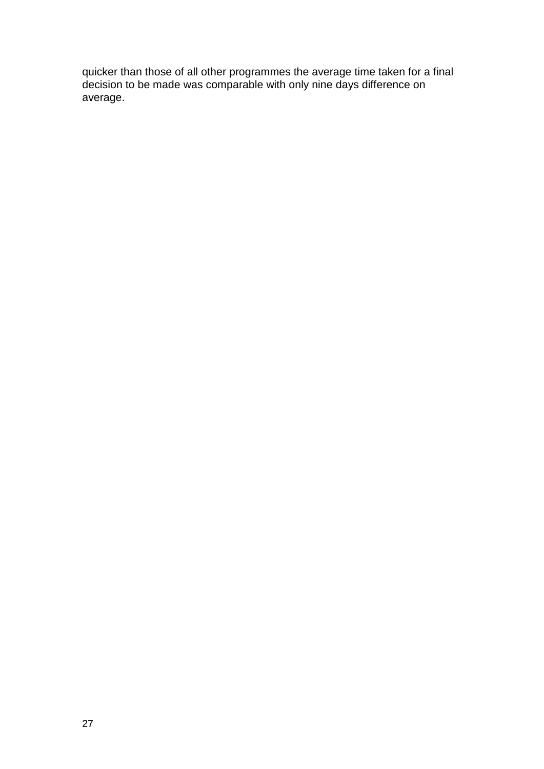quicker than those of all other programmes the average time taken for a final decision to be made was comparable with only nine days difference on average.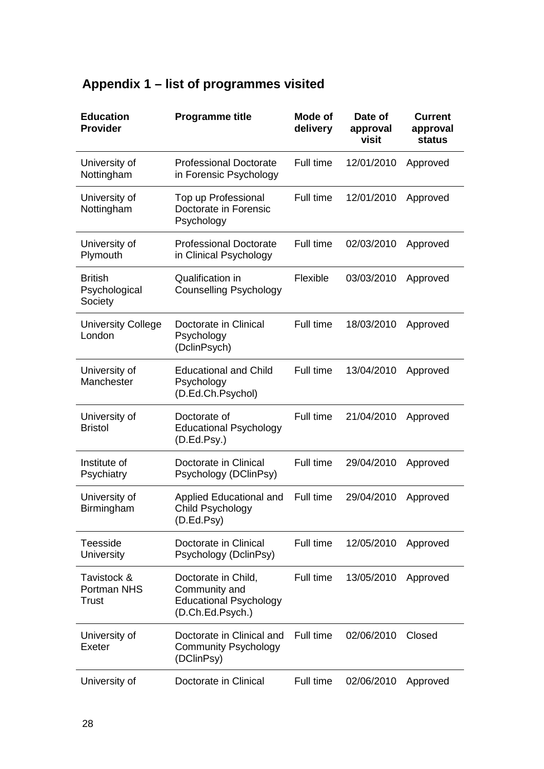| <b>Education</b><br><b>Provider</b>        | <b>Programme title</b>                                                                    | Mode of<br>delivery | Date of<br>approval<br>visit | <b>Current</b><br>approval<br><b>status</b> |
|--------------------------------------------|-------------------------------------------------------------------------------------------|---------------------|------------------------------|---------------------------------------------|
| University of<br>Nottingham                | <b>Professional Doctorate</b><br>in Forensic Psychology                                   | Full time           | 12/01/2010                   | Approved                                    |
| University of<br>Nottingham                | Top up Professional<br>Doctorate in Forensic<br>Psychology                                | Full time           | 12/01/2010                   | Approved                                    |
| University of<br>Plymouth                  | <b>Professional Doctorate</b><br>in Clinical Psychology                                   | Full time           | 02/03/2010                   | Approved                                    |
| <b>British</b><br>Psychological<br>Society | Qualification in<br><b>Counselling Psychology</b>                                         | Flexible            | 03/03/2010                   | Approved                                    |
| <b>University College</b><br>London        | Doctorate in Clinical<br>Psychology<br>(DclinPsych)                                       | Full time           | 18/03/2010                   | Approved                                    |
| University of<br>Manchester                | <b>Educational and Child</b><br>Psychology<br>(D.Ed.Ch.Psychol)                           | Full time           | 13/04/2010                   | Approved                                    |
| University of<br><b>Bristol</b>            | Doctorate of<br><b>Educational Psychology</b><br>(D.Ed.Psy.)                              | Full time           | 21/04/2010                   | Approved                                    |
| Institute of<br>Psychiatry                 | Doctorate in Clinical<br>Psychology (DClinPsy)                                            | Full time           | 29/04/2010                   | Approved                                    |
| University of<br>Birmingham                | Applied Educational and<br>Child Psychology<br>(D.Ed.Psy)                                 | Full time           | 29/04/2010                   | Approved                                    |
| Teesside<br>University                     | Doctorate in Clinical<br>Psychology (DclinPsy)                                            | Full time           | 12/05/2010                   | Approved                                    |
| Tavistock &<br>Portman NHS<br>Trust        | Doctorate in Child,<br>Community and<br><b>Educational Psychology</b><br>(D.Ch.Ed.Psych.) | Full time           | 13/05/2010                   | Approved                                    |
| University of<br>Exeter                    | Doctorate in Clinical and<br><b>Community Psychology</b><br>(DClinPsy)                    | Full time           | 02/06/2010                   | Closed                                      |
| University of                              | Doctorate in Clinical                                                                     | Full time           | 02/06/2010                   | Approved                                    |

# **Appendix 1 – list of programmes visited**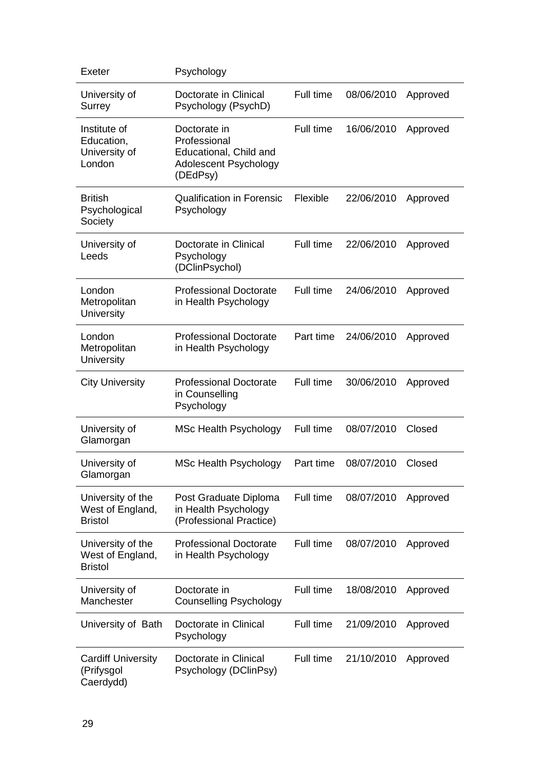| Exeter                                                  | Psychology                                                                                  |           |            |          |
|---------------------------------------------------------|---------------------------------------------------------------------------------------------|-----------|------------|----------|
| University of<br>Surrey                                 | Doctorate in Clinical<br>Psychology (PsychD)                                                | Full time | 08/06/2010 | Approved |
| Institute of<br>Education,<br>University of<br>London   | Doctorate in<br>Professional<br>Educational, Child and<br>Adolescent Psychology<br>(DEdPsy) | Full time | 16/06/2010 | Approved |
| <b>British</b><br>Psychological<br>Society              | <b>Qualification in Forensic</b><br>Psychology                                              | Flexible  | 22/06/2010 | Approved |
| University of<br>Leeds                                  | Doctorate in Clinical<br>Psychology<br>(DClinPsychol)                                       | Full time | 22/06/2010 | Approved |
| London<br>Metropolitan<br>University                    | <b>Professional Doctorate</b><br>in Health Psychology                                       | Full time | 24/06/2010 | Approved |
| London<br>Metropolitan<br>University                    | <b>Professional Doctorate</b><br>in Health Psychology                                       | Part time | 24/06/2010 | Approved |
| <b>City University</b>                                  | <b>Professional Doctorate</b><br>in Counselling<br>Psychology                               | Full time | 30/06/2010 | Approved |
| University of<br>Glamorgan                              | <b>MSc Health Psychology</b>                                                                | Full time | 08/07/2010 | Closed   |
| University of<br>Glamorgan                              | <b>MSc Health Psychology</b>                                                                | Part time | 08/07/2010 | Closed   |
| University of the<br>West of England,<br><b>Bristol</b> | Post Graduate Diploma<br>in Health Psychology<br>(Professional Practice)                    | Full time | 08/07/2010 | Approved |
| University of the<br>West of England,<br><b>Bristol</b> | <b>Professional Doctorate</b><br>in Health Psychology                                       | Full time | 08/07/2010 | Approved |
| University of<br>Manchester                             | Doctorate in<br><b>Counselling Psychology</b>                                               | Full time | 18/08/2010 | Approved |
| University of Bath                                      | Doctorate in Clinical<br>Psychology                                                         | Full time | 21/09/2010 | Approved |
| <b>Cardiff University</b><br>(Prifysgol<br>Caerdydd)    | Doctorate in Clinical<br>Psychology (DClinPsy)                                              | Full time | 21/10/2010 | Approved |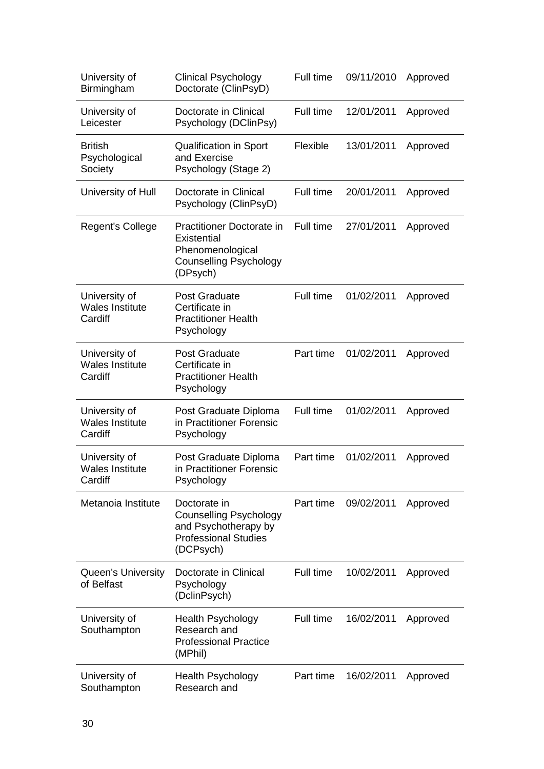| University of<br>Birmingham                        | <b>Clinical Psychology</b><br>Doctorate (ClinPsyD)                                                                | Full time | 09/11/2010 | Approved |
|----------------------------------------------------|-------------------------------------------------------------------------------------------------------------------|-----------|------------|----------|
| University of<br>Leicester                         | Doctorate in Clinical<br>Psychology (DClinPsy)                                                                    | Full time | 12/01/2011 | Approved |
| <b>British</b><br>Psychological<br>Society         | <b>Qualification in Sport</b><br>and Exercise<br>Psychology (Stage 2)                                             | Flexible  | 13/01/2011 | Approved |
| University of Hull                                 | Doctorate in Clinical<br>Psychology (ClinPsyD)                                                                    | Full time | 20/01/2011 | Approved |
| <b>Regent's College</b>                            | Practitioner Doctorate in<br>Existential<br>Phenomenological<br><b>Counselling Psychology</b><br>(DPsych)         | Full time | 27/01/2011 | Approved |
| University of<br><b>Wales Institute</b><br>Cardiff | <b>Post Graduate</b><br>Certificate in<br><b>Practitioner Health</b><br>Psychology                                | Full time | 01/02/2011 | Approved |
| University of<br><b>Wales Institute</b><br>Cardiff | <b>Post Graduate</b><br>Certificate in<br><b>Practitioner Health</b><br>Psychology                                | Part time | 01/02/2011 | Approved |
| University of<br><b>Wales Institute</b><br>Cardiff | Post Graduate Diploma<br>in Practitioner Forensic<br>Psychology                                                   | Full time | 01/02/2011 | Approved |
| University of<br><b>Wales Institute</b><br>Cardiff | Post Graduate Diploma<br>in Practitioner Forensic<br>Psychology                                                   | Part time | 01/02/2011 | Approved |
| Metanoia Institute                                 | Doctorate in<br><b>Counselling Psychology</b><br>and Psychotherapy by<br><b>Professional Studies</b><br>(DCPsych) | Part time | 09/02/2011 | Approved |
| <b>Queen's University</b><br>of Belfast            | Doctorate in Clinical<br>Psychology<br>(DclinPsych)                                                               | Full time | 10/02/2011 | Approved |
| University of<br>Southampton                       | <b>Health Psychology</b><br>Research and<br><b>Professional Practice</b><br>(MPhil)                               | Full time | 16/02/2011 | Approved |
| University of<br>Southampton                       | <b>Health Psychology</b><br>Research and                                                                          | Part time | 16/02/2011 | Approved |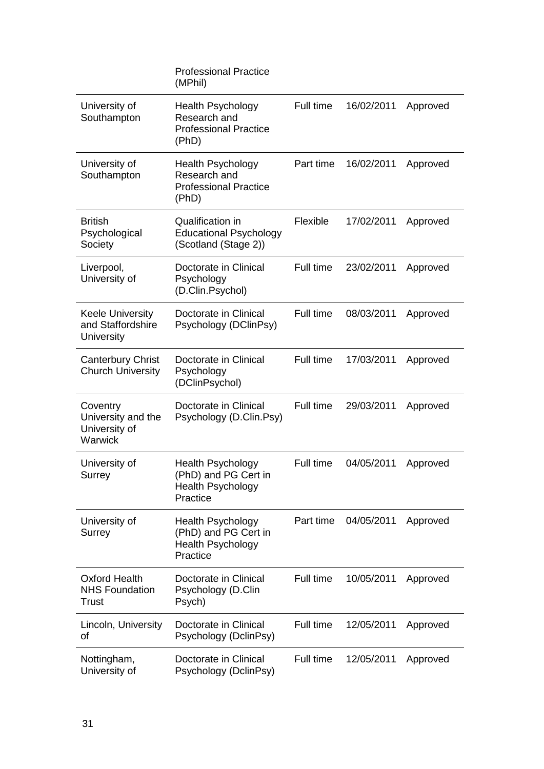|                                                            | <b>Professional Practice</b><br>(MPhil)                                                  |           |            |          |
|------------------------------------------------------------|------------------------------------------------------------------------------------------|-----------|------------|----------|
| University of<br>Southampton                               | <b>Health Psychology</b><br>Research and<br><b>Professional Practice</b><br>(PhD)        | Full time | 16/02/2011 | Approved |
| University of<br>Southampton                               | <b>Health Psychology</b><br>Research and<br><b>Professional Practice</b><br>(PhD)        | Part time | 16/02/2011 | Approved |
| <b>British</b><br>Psychological<br>Society                 | Qualification in<br><b>Educational Psychology</b><br>(Scotland (Stage 2))                | Flexible  | 17/02/2011 | Approved |
| Liverpool,<br>University of                                | Doctorate in Clinical<br>Psychology<br>(D.Clin.Psychol)                                  | Full time | 23/02/2011 | Approved |
| <b>Keele University</b><br>and Staffordshire<br>University | Doctorate in Clinical<br>Psychology (DClinPsy)                                           | Full time | 08/03/2011 | Approved |
| <b>Canterbury Christ</b><br><b>Church University</b>       | Doctorate in Clinical<br>Psychology<br>(DClinPsychol)                                    | Full time | 17/03/2011 | Approved |
| Coventry<br>University and the<br>University of<br>Warwick | Doctorate in Clinical<br>Psychology (D.Clin.Psy)                                         | Full time | 29/03/2011 | Approved |
| University of<br>Surrey                                    | <b>Health Psychology</b><br>(PhD) and PG Cert in<br><b>Health Psychology</b><br>Practice | Full time | 04/05/2011 | Approved |
| University of<br>Surrey                                    | <b>Health Psychology</b><br>(PhD) and PG Cert in<br><b>Health Psychology</b><br>Practice | Part time | 04/05/2011 | Approved |
| <b>Oxford Health</b><br><b>NHS Foundation</b><br>Trust     | Doctorate in Clinical<br>Psychology (D.Clin<br>Psych)                                    | Full time | 10/05/2011 | Approved |
| Lincoln, University<br>οf                                  | Doctorate in Clinical<br>Psychology (DclinPsy)                                           | Full time | 12/05/2011 | Approved |
| Nottingham,<br>University of                               | Doctorate in Clinical<br>Psychology (DclinPsy)                                           | Full time | 12/05/2011 | Approved |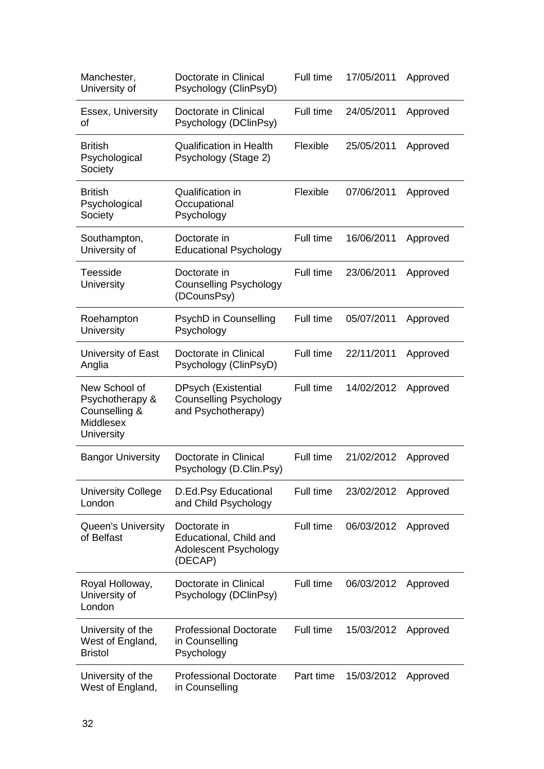| Manchester,<br>University of                                                        | Doctorate in Clinical<br>Psychology (ClinPsyD)                                    | Full time | 17/05/2011 | Approved |
|-------------------------------------------------------------------------------------|-----------------------------------------------------------------------------------|-----------|------------|----------|
| Essex, University<br>of                                                             | Doctorate in Clinical<br>Psychology (DClinPsy)                                    | Full time | 24/05/2011 | Approved |
| <b>British</b><br>Psychological<br>Society                                          | <b>Qualification in Health</b><br>Psychology (Stage 2)                            | Flexible  | 25/05/2011 | Approved |
| <b>British</b><br>Psychological<br>Society                                          | Qualification in<br>Occupational<br>Psychology                                    | Flexible  | 07/06/2011 | Approved |
| Southampton,<br>University of                                                       | Doctorate in<br><b>Educational Psychology</b>                                     | Full time | 16/06/2011 | Approved |
| <b>Teesside</b><br><b>University</b>                                                | Doctorate in<br><b>Counselling Psychology</b><br>(DCounsPsy)                      | Full time | 23/06/2011 | Approved |
| Roehampton<br><b>University</b>                                                     | PsychD in Counselling<br>Psychology                                               | Full time | 05/07/2011 | Approved |
| University of East<br>Anglia                                                        | Doctorate in Clinical<br>Psychology (ClinPsyD)                                    | Full time | 22/11/2011 | Approved |
| New School of<br>Psychotherapy &<br>Counselling &<br>Middlesex<br><b>University</b> | <b>DPsych (Existential</b><br><b>Counselling Psychology</b><br>and Psychotherapy) | Full time | 14/02/2012 | Approved |
| <b>Bangor University</b>                                                            | Doctorate in Clinical<br>Psychology (D.Clin.Psy)                                  | Full time | 21/02/2012 | Approved |
| <b>University College</b><br>London                                                 | D.Ed.Psy Educational<br>and Child Psychology                                      | Full time | 23/02/2012 | Approved |
| <b>Queen's University</b><br>of Belfast                                             | Doctorate in<br>Educational, Child and<br>Adolescent Psychology<br>(DECAP)        | Full time | 06/03/2012 | Approved |
| Royal Holloway,<br>University of<br>London                                          | Doctorate in Clinical<br>Psychology (DClinPsy)                                    | Full time | 06/03/2012 | Approved |
| University of the<br>West of England,<br><b>Bristol</b>                             | <b>Professional Doctorate</b><br>in Counselling<br>Psychology                     | Full time | 15/03/2012 | Approved |
| University of the<br>West of England,                                               | <b>Professional Doctorate</b><br>in Counselling                                   | Part time | 15/03/2012 | Approved |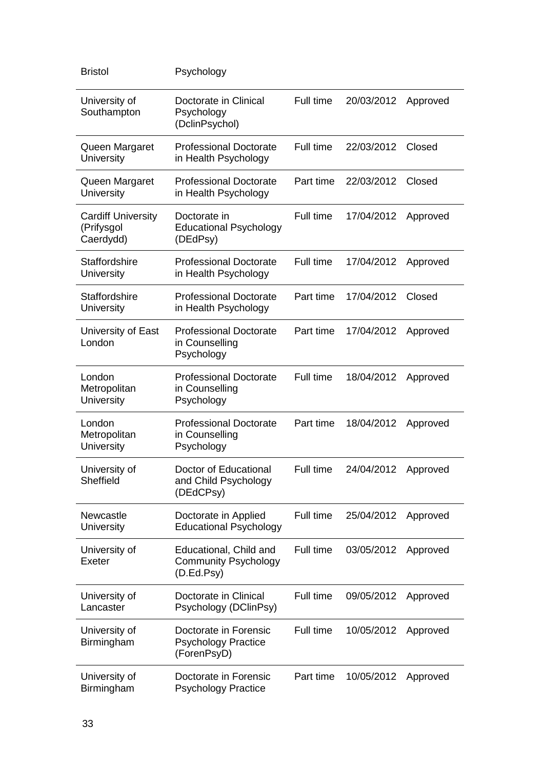| <b>Bristol</b>                                       | Psychology                                                          |           |            |          |
|------------------------------------------------------|---------------------------------------------------------------------|-----------|------------|----------|
| University of<br>Southampton                         | Doctorate in Clinical<br>Psychology<br>(DclinPsychol)               | Full time | 20/03/2012 | Approved |
| Queen Margaret<br><b>University</b>                  | <b>Professional Doctorate</b><br>in Health Psychology               | Full time | 22/03/2012 | Closed   |
| Queen Margaret<br>University                         | <b>Professional Doctorate</b><br>in Health Psychology               | Part time | 22/03/2012 | Closed   |
| <b>Cardiff University</b><br>(Prifysgol<br>Caerdydd) | Doctorate in<br><b>Educational Psychology</b><br>(DEdPsy)           | Full time | 17/04/2012 | Approved |
| <b>Staffordshire</b><br><b>University</b>            | <b>Professional Doctorate</b><br>in Health Psychology               | Full time | 17/04/2012 | Approved |
| <b>Staffordshire</b><br><b>University</b>            | <b>Professional Doctorate</b><br>in Health Psychology               | Part time | 17/04/2012 | Closed   |
| University of East<br>London                         | <b>Professional Doctorate</b><br>in Counselling<br>Psychology       | Part time | 17/04/2012 | Approved |
| London<br>Metropolitan<br>University                 | <b>Professional Doctorate</b><br>in Counselling<br>Psychology       | Full time | 18/04/2012 | Approved |
| London<br>Metropolitan<br><b>University</b>          | <b>Professional Doctorate</b><br>in Counselling<br>Psychology       | Part time | 18/04/2012 | Approved |
| University of<br>Sheffield                           | Doctor of Educational<br>and Child Psychology<br>(DEdCPsy)          | Full time | 24/04/2012 | Approved |
| Newcastle<br><b>University</b>                       | Doctorate in Applied<br><b>Educational Psychology</b>               | Full time | 25/04/2012 | Approved |
| University of<br>Exeter                              | Educational, Child and<br><b>Community Psychology</b><br>(D.Ed.Psy) | Full time | 03/05/2012 | Approved |
| University of<br>Lancaster                           | Doctorate in Clinical<br>Psychology (DClinPsy)                      | Full time | 09/05/2012 | Approved |
| University of<br>Birmingham                          | Doctorate in Forensic<br><b>Psychology Practice</b><br>(ForenPsyD)  | Full time | 10/05/2012 | Approved |
| University of<br>Birmingham                          | Doctorate in Forensic<br><b>Psychology Practice</b>                 | Part time | 10/05/2012 | Approved |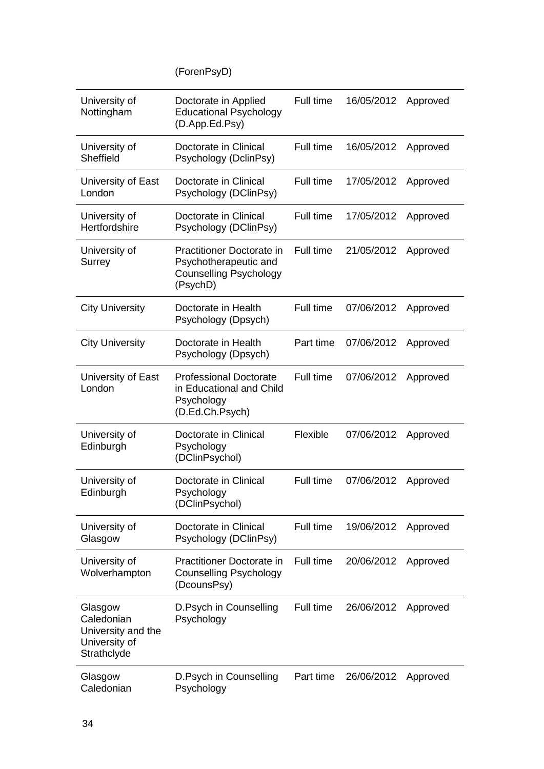(ForenPsyD)

| University of<br>Nottingham                                                 | Doctorate in Applied<br><b>Educational Psychology</b><br>(D.App.Ed.Psy)                                | Full time | 16/05/2012 | Approved |
|-----------------------------------------------------------------------------|--------------------------------------------------------------------------------------------------------|-----------|------------|----------|
| University of<br>Sheffield                                                  | Doctorate in Clinical<br>Psychology (DclinPsy)                                                         | Full time | 16/05/2012 | Approved |
| University of East<br>London                                                | Doctorate in Clinical<br>Psychology (DClinPsy)                                                         | Full time | 17/05/2012 | Approved |
| University of<br>Hertfordshire                                              | Doctorate in Clinical<br>Psychology (DClinPsy)                                                         | Full time | 17/05/2012 | Approved |
| University of<br>Surrey                                                     | <b>Practitioner Doctorate in</b><br>Psychotherapeutic and<br><b>Counselling Psychology</b><br>(PsychD) | Full time | 21/05/2012 | Approved |
| <b>City University</b>                                                      | Doctorate in Health<br>Psychology (Dpsych)                                                             | Full time | 07/06/2012 | Approved |
| <b>City University</b>                                                      | Doctorate in Health<br>Psychology (Dpsych)                                                             | Part time | 07/06/2012 | Approved |
| University of East<br>London                                                | <b>Professional Doctorate</b><br>in Educational and Child<br>Psychology<br>(D.Ed.Ch.Psych)             | Full time | 07/06/2012 | Approved |
| University of<br>Edinburgh                                                  | Doctorate in Clinical<br>Psychology<br>(DClinPsychol)                                                  | Flexible  | 07/06/2012 | Approved |
| University of<br>Edinburgh                                                  | Doctorate in Clinical<br>Psychology<br>(DClinPsychol)                                                  | Full time | 07/06/2012 | Approved |
| University of<br>Glasgow                                                    | Doctorate in Clinical<br>Psychology (DClinPsy)                                                         | Full time | 19/06/2012 | Approved |
| University of<br>Wolverhampton                                              | <b>Practitioner Doctorate in</b><br><b>Counselling Psychology</b><br>(DcounsPsy)                       | Full time | 20/06/2012 | Approved |
| Glasgow<br>Caledonian<br>University and the<br>University of<br>Strathclyde | D.Psych in Counselling<br>Psychology                                                                   | Full time | 26/06/2012 | Approved |
| Glasgow<br>Caledonian                                                       | D.Psych in Counselling<br>Psychology                                                                   | Part time | 26/06/2012 | Approved |